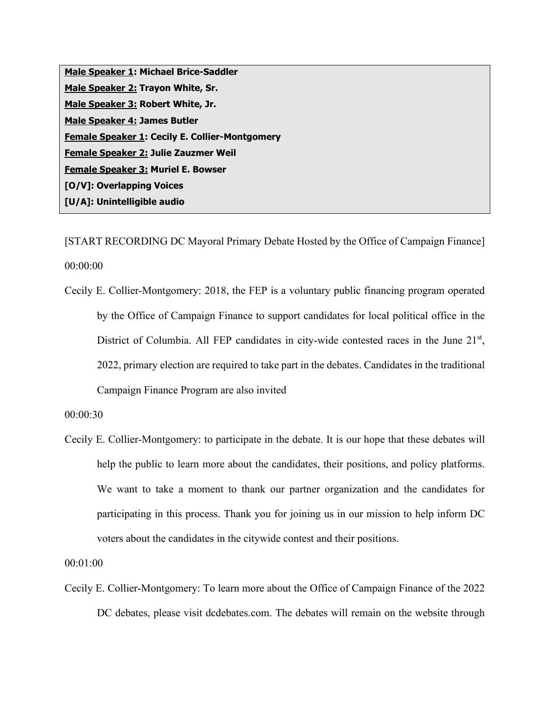| Male Speaker 1: Michael Brice-Saddler                 |
|-------------------------------------------------------|
| Male Speaker 2: Trayon White, Sr.                     |
| Male Speaker 3: Robert White, Jr.                     |
| <b>Male Speaker 4: James Butler</b>                   |
| <b>Female Speaker 1: Cecily E. Collier-Montgomery</b> |
| Female Speaker 2: Julie Zauzmer Weil                  |
| <b>Female Speaker 3: Muriel E. Bowser</b>             |
| [O/V]: Overlapping Voices                             |
| [U/A]: Unintelligible audio                           |

[START RECORDING DC Mayoral Primary Debate Hosted by the Office of Campaign Finance] 00:00:00

Cecily E. Collier-Montgomery: 2018, the FEP is a voluntary public financing program operated by the Office of Campaign Finance to support candidates for local political office in the District of Columbia. All FEP candidates in city-wide contested races in the June 21<sup>st</sup>, 2022, primary election are required to take part in the debates. Candidates in the traditional Campaign Finance Program are also invited

00:00:30

Cecily E. Collier-Montgomery: to participate in the debate. It is our hope that these debates will help the public to learn more about the candidates, their positions, and policy platforms. We want to take a moment to thank our partner organization and the candidates for participating in this process. Thank you for joining us in our mission to help inform DC voters about the candidates in the citywide contest and their positions.

00:01:00

Cecily E. Collier-Montgomery: To learn more about the Office of Campaign Finance of the 2022 DC debates, please visit dcdebates.com. The debates will remain on the website through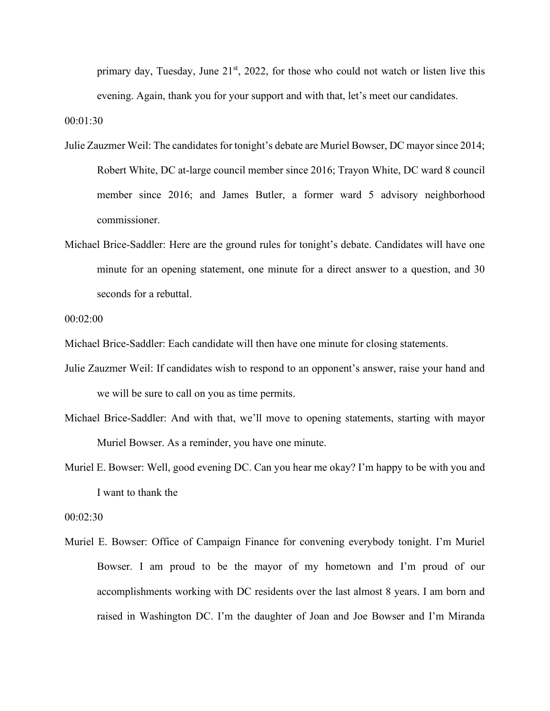primary day, Tuesday, June  $21<sup>st</sup>$ , 2022, for those who could not watch or listen live this evening. Again, thank you for your support and with that, let's meet our candidates.

00:01:30

- Julie Zauzmer Weil: The candidates for tonight's debate are Muriel Bowser, DC mayor since 2014; Robert White, DC at-large council member since 2016; Trayon White, DC ward 8 council member since 2016; and James Butler, a former ward 5 advisory neighborhood commissioner.
- Michael Brice-Saddler: Here are the ground rules for tonight's debate. Candidates will have one minute for an opening statement, one minute for a direct answer to a question, and 30 seconds for a rebuttal.

00:02:00

Michael Brice-Saddler: Each candidate will then have one minute for closing statements.

- Julie Zauzmer Weil: If candidates wish to respond to an opponent's answer, raise your hand and we will be sure to call on you as time permits.
- Michael Brice-Saddler: And with that, we'll move to opening statements, starting with mayor Muriel Bowser. As a reminder, you have one minute.
- Muriel E. Bowser: Well, good evening DC. Can you hear me okay? I'm happy to be with you and I want to thank the

00:02:30

Muriel E. Bowser: Office of Campaign Finance for convening everybody tonight. I'm Muriel Bowser. I am proud to be the mayor of my hometown and I'm proud of our accomplishments working with DC residents over the last almost 8 years. I am born and raised in Washington DC. I'm the daughter of Joan and Joe Bowser and I'm Miranda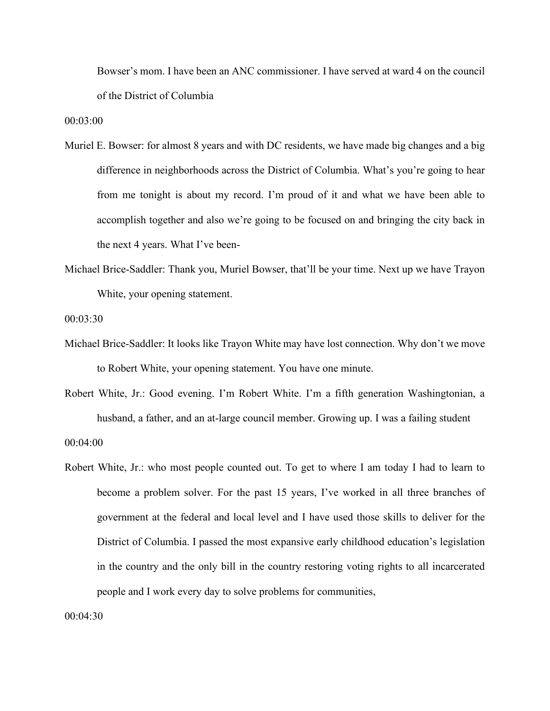Bowser's mom. I have been an ANC commissioner. I have served at ward 4 on the council of the District of Columbia

00:03:00

- Muriel E. Bowser: for almost 8 years and with DC residents, we have made big changes and a big difference in neighborhoods across the District of Columbia. What's you're going to hear from me tonight is about my record. I'm proud of it and what we have been able to accomplish together and also we're going to be focused on and bringing the city back in the next 4 years. What I've been-
- Michael Brice-Saddler: Thank you, Muriel Bowser, that'll be your time. Next up we have Trayon White, your opening statement.

## 00:03:30

- Michael Brice-Saddler: It looks like Trayon White may have lost connection. Why don't we move to Robert White, your opening statement. You have one minute.
- Robert White, Jr.: Good evening. I'm Robert White. I'm a fifth generation Washingtonian, a husband, a father, and an at-large council member. Growing up. I was a failing student 00:04:00
- Robert White, Jr.: who most people counted out. To get to where I am today I had to learn to become a problem solver. For the past 15 years, I've worked in all three branches of government at the federal and local level and I have used those skills to deliver for the District of Columbia. I passed the most expansive early childhood education's legislation in the country and the only bill in the country restoring voting rights to all incarcerated people and I work every day to solve problems for communities,

00:04:30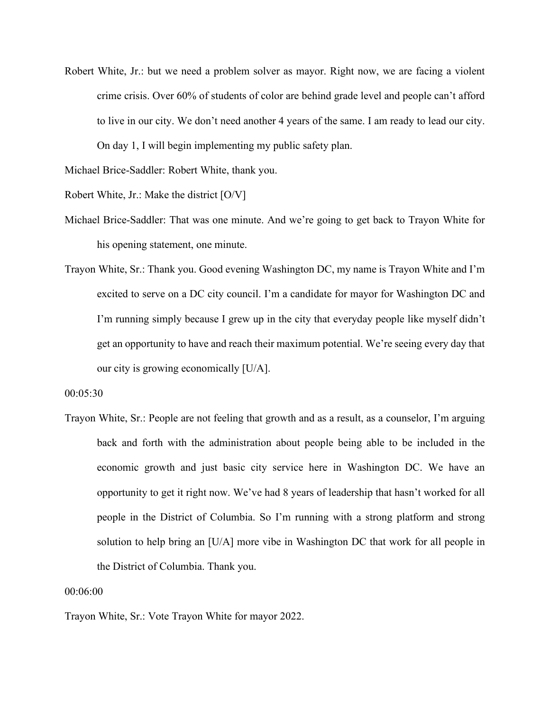Robert White, Jr.: but we need a problem solver as mayor. Right now, we are facing a violent crime crisis. Over 60% of students of color are behind grade level and people can't afford to live in our city. We don't need another 4 years of the same. I am ready to lead our city. On day 1, I will begin implementing my public safety plan.

Michael Brice-Saddler: Robert White, thank you.

Robert White, Jr.: Make the district [O/V]

- Michael Brice-Saddler: That was one minute. And we're going to get back to Trayon White for his opening statement, one minute.
- Trayon White, Sr.: Thank you. Good evening Washington DC, my name is Trayon White and I'm excited to serve on a DC city council. I'm a candidate for mayor for Washington DC and I'm running simply because I grew up in the city that everyday people like myself didn't get an opportunity to have and reach their maximum potential. We're seeing every day that our city is growing economically [U/A].

## 00:05:30

Trayon White, Sr.: People are not feeling that growth and as a result, as a counselor, I'm arguing back and forth with the administration about people being able to be included in the economic growth and just basic city service here in Washington DC. We have an opportunity to get it right now. We've had 8 years of leadership that hasn't worked for all people in the District of Columbia. So I'm running with a strong platform and strong solution to help bring an [U/A] more vibe in Washington DC that work for all people in the District of Columbia. Thank you.

## 00:06:00

Trayon White, Sr.: Vote Trayon White for mayor 2022.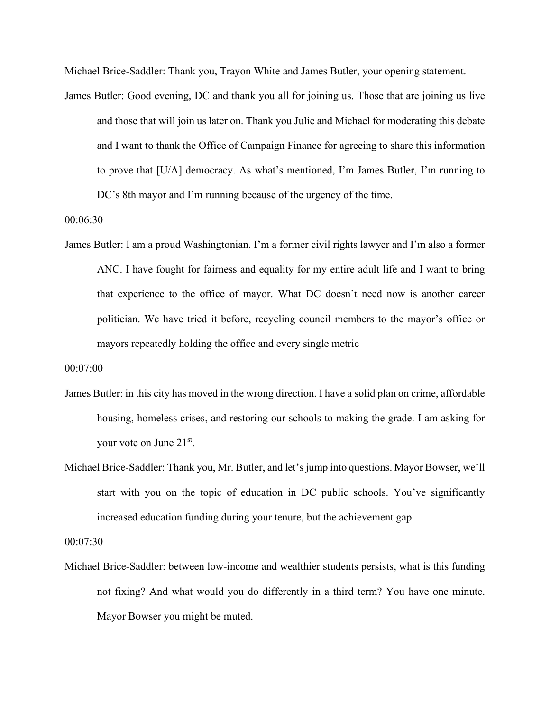Michael Brice-Saddler: Thank you, Trayon White and James Butler, your opening statement.

James Butler: Good evening, DC and thank you all for joining us. Those that are joining us live and those that will join us later on. Thank you Julie and Michael for moderating this debate and I want to thank the Office of Campaign Finance for agreeing to share this information to prove that [U/A] democracy. As what's mentioned, I'm James Butler, I'm running to DC's 8th mayor and I'm running because of the urgency of the time.

00:06:30

James Butler: I am a proud Washingtonian. I'm a former civil rights lawyer and I'm also a former ANC. I have fought for fairness and equality for my entire adult life and I want to bring that experience to the office of mayor. What DC doesn't need now is another career politician. We have tried it before, recycling council members to the mayor's office or mayors repeatedly holding the office and every single metric

00:07:00

- James Butler: in this city has moved in the wrong direction. I have a solid plan on crime, affordable housing, homeless crises, and restoring our schools to making the grade. I am asking for your vote on June 21st.
- Michael Brice-Saddler: Thank you, Mr. Butler, and let's jump into questions. Mayor Bowser, we'll start with you on the topic of education in DC public schools. You've significantly increased education funding during your tenure, but the achievement gap

00:07:30

Michael Brice-Saddler: between low-income and wealthier students persists, what is this funding not fixing? And what would you do differently in a third term? You have one minute. Mayor Bowser you might be muted.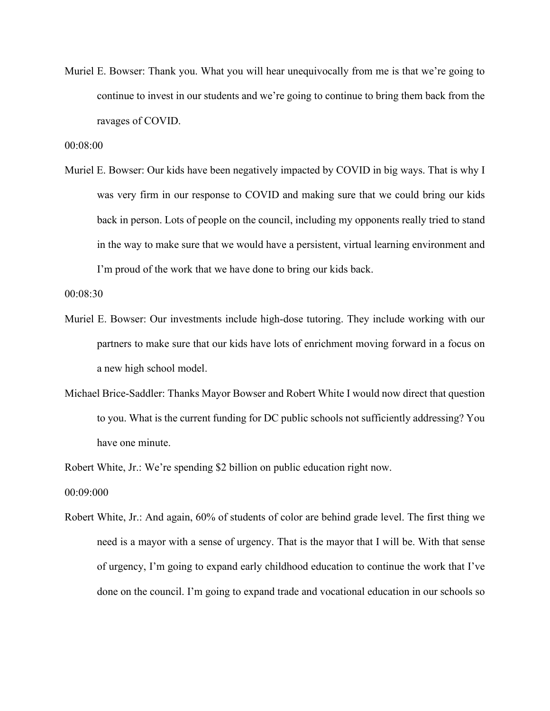Muriel E. Bowser: Thank you. What you will hear unequivocally from me is that we're going to continue to invest in our students and we're going to continue to bring them back from the ravages of COVID.

00:08:00

Muriel E. Bowser: Our kids have been negatively impacted by COVID in big ways. That is why I was very firm in our response to COVID and making sure that we could bring our kids back in person. Lots of people on the council, including my opponents really tried to stand in the way to make sure that we would have a persistent, virtual learning environment and I'm proud of the work that we have done to bring our kids back.

00:08:30

- Muriel E. Bowser: Our investments include high-dose tutoring. They include working with our partners to make sure that our kids have lots of enrichment moving forward in a focus on a new high school model.
- Michael Brice-Saddler: Thanks Mayor Bowser and Robert White I would now direct that question to you. What is the current funding for DC public schools not sufficiently addressing? You have one minute.

Robert White, Jr.: We're spending \$2 billion on public education right now.

00:09:000

Robert White, Jr.: And again, 60% of students of color are behind grade level. The first thing we need is a mayor with a sense of urgency. That is the mayor that I will be. With that sense of urgency, I'm going to expand early childhood education to continue the work that I've done on the council. I'm going to expand trade and vocational education in our schools so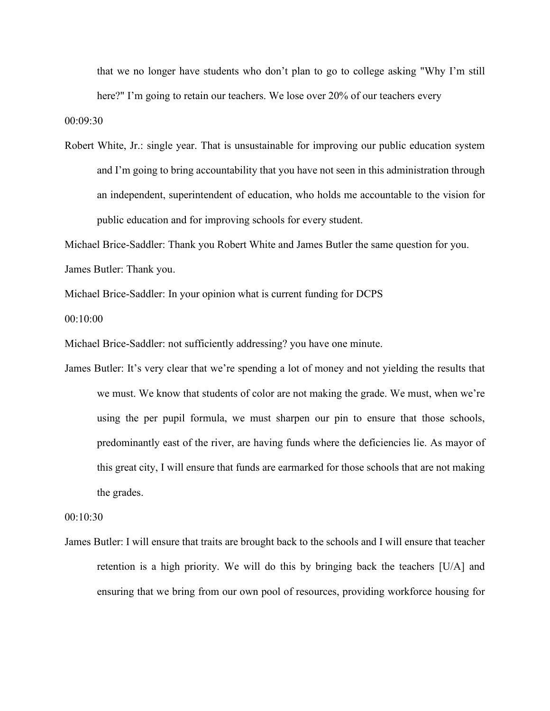that we no longer have students who don't plan to go to college asking "Why I'm still here?" I'm going to retain our teachers. We lose over 20% of our teachers every 00:09:30

Robert White, Jr.: single year. That is unsustainable for improving our public education system and I'm going to bring accountability that you have not seen in this administration through an independent, superintendent of education, who holds me accountable to the vision for public education and for improving schools for every student.

Michael Brice-Saddler: Thank you Robert White and James Butler the same question for you.

James Butler: Thank you.

Michael Brice-Saddler: In your opinion what is current funding for DCPS

00:10:00

Michael Brice-Saddler: not sufficiently addressing? you have one minute.

James Butler: It's very clear that we're spending a lot of money and not yielding the results that we must. We know that students of color are not making the grade. We must, when we're using the per pupil formula, we must sharpen our pin to ensure that those schools, predominantly east of the river, are having funds where the deficiencies lie. As mayor of this great city, I will ensure that funds are earmarked for those schools that are not making the grades.

00:10:30

James Butler: I will ensure that traits are brought back to the schools and I will ensure that teacher retention is a high priority. We will do this by bringing back the teachers [U/A] and ensuring that we bring from our own pool of resources, providing workforce housing for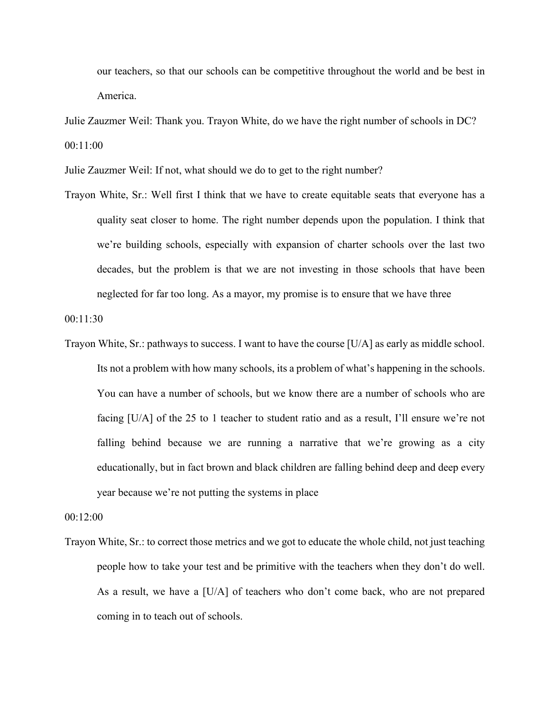our teachers, so that our schools can be competitive throughout the world and be best in America.

Julie Zauzmer Weil: Thank you. Trayon White, do we have the right number of schools in DC? 00:11:00

Julie Zauzmer Weil: If not, what should we do to get to the right number?

Trayon White, Sr.: Well first I think that we have to create equitable seats that everyone has a quality seat closer to home. The right number depends upon the population. I think that we're building schools, especially with expansion of charter schools over the last two decades, but the problem is that we are not investing in those schools that have been neglected for far too long. As a mayor, my promise is to ensure that we have three

00:11:30

Trayon White, Sr.: pathways to success. I want to have the course [U/A] as early as middle school. Its not a problem with how many schools, its a problem of what's happening in the schools. You can have a number of schools, but we know there are a number of schools who are facing [U/A] of the 25 to 1 teacher to student ratio and as a result, I'll ensure we're not falling behind because we are running a narrative that we're growing as a city educationally, but in fact brown and black children are falling behind deep and deep every year because we're not putting the systems in place

00:12:00

Trayon White, Sr.: to correct those metrics and we got to educate the whole child, not just teaching people how to take your test and be primitive with the teachers when they don't do well. As a result, we have a [U/A] of teachers who don't come back, who are not prepared coming in to teach out of schools.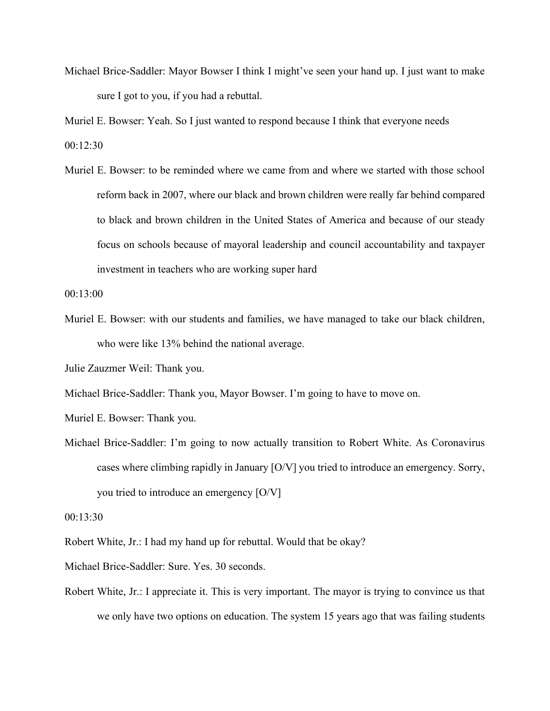Michael Brice-Saddler: Mayor Bowser I think I might've seen your hand up. I just want to make sure I got to you, if you had a rebuttal.

Muriel E. Bowser: Yeah. So I just wanted to respond because I think that everyone needs  $00:12:30$ 

Muriel E. Bowser: to be reminded where we came from and where we started with those school reform back in 2007, where our black and brown children were really far behind compared to black and brown children in the United States of America and because of our steady focus on schools because of mayoral leadership and council accountability and taxpayer investment in teachers who are working super hard

00:13:00

Muriel E. Bowser: with our students and families, we have managed to take our black children, who were like 13% behind the national average.

Julie Zauzmer Weil: Thank you.

Michael Brice-Saddler: Thank you, Mayor Bowser. I'm going to have to move on.

Muriel E. Bowser: Thank you.

Michael Brice-Saddler: I'm going to now actually transition to Robert White. As Coronavirus cases where climbing rapidly in January [O/V] you tried to introduce an emergency. Sorry, you tried to introduce an emergency [O/V]

00:13:30

- Robert White, Jr.: I had my hand up for rebuttal. Would that be okay?
- Michael Brice-Saddler: Sure. Yes. 30 seconds.
- Robert White, Jr.: I appreciate it. This is very important. The mayor is trying to convince us that we only have two options on education. The system 15 years ago that was failing students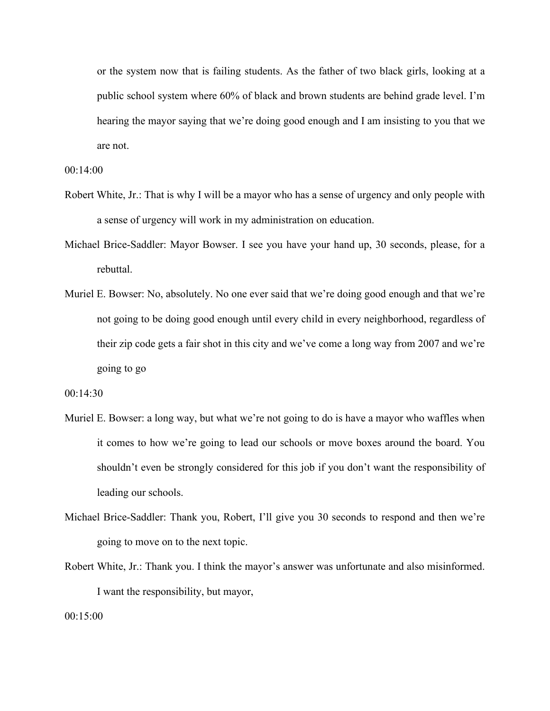or the system now that is failing students. As the father of two black girls, looking at a public school system where 60% of black and brown students are behind grade level. I'm hearing the mayor saying that we're doing good enough and I am insisting to you that we are not.

00:14:00

- Robert White, Jr.: That is why I will be a mayor who has a sense of urgency and only people with a sense of urgency will work in my administration on education.
- Michael Brice-Saddler: Mayor Bowser. I see you have your hand up, 30 seconds, please, for a rebuttal.
- Muriel E. Bowser: No, absolutely. No one ever said that we're doing good enough and that we're not going to be doing good enough until every child in every neighborhood, regardless of their zip code gets a fair shot in this city and we've come a long way from 2007 and we're going to go

00:14:30

- Muriel E. Bowser: a long way, but what we're not going to do is have a mayor who waffles when it comes to how we're going to lead our schools or move boxes around the board. You shouldn't even be strongly considered for this job if you don't want the responsibility of leading our schools.
- Michael Brice-Saddler: Thank you, Robert, I'll give you 30 seconds to respond and then we're going to move on to the next topic.
- Robert White, Jr.: Thank you. I think the mayor's answer was unfortunate and also misinformed. I want the responsibility, but mayor,

00:15:00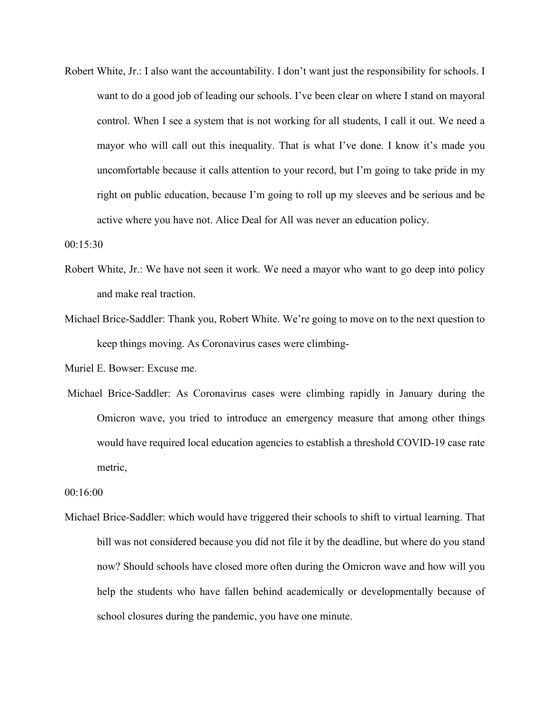Robert White, Jr.: I also want the accountability. I don't want just the responsibility for schools. I want to do a good job of leading our schools. I've been clear on where I stand on mayoral control. When I see a system that is not working for all students, I call it out. We need a mayor who will call out this inequality. That is what I've done. I know it's made you uncomfortable because it calls attention to your record, but I'm going to take pride in my right on public education, because I'm going to roll up my sleeves and be serious and be active where you have not. Alice Deal for All was never an education policy.

00:15:30

- Robert White, Jr.: We have not seen it work. We need a mayor who want to go deep into policy and make real traction.
- Michael Brice-Saddler: Thank you, Robert White. We're going to move on to the next question to keep things moving. As Coronavirus cases were climbing-

Muriel E. Bowser: Excuse me.

Michael Brice-Saddler: As Coronavirus cases were climbing rapidly in January during the Omicron wave, you tried to introduce an emergency measure that among other things would have required local education agencies to establish a threshold COVID-19 case rate metric,

00:16:00

Michael Brice-Saddler: which would have triggered their schools to shift to virtual learning. That bill was not considered because you did not file it by the deadline, but where do you stand now? Should schools have closed more often during the Omicron wave and how will you help the students who have fallen behind academically or developmentally because of school closures during the pandemic, you have one minute.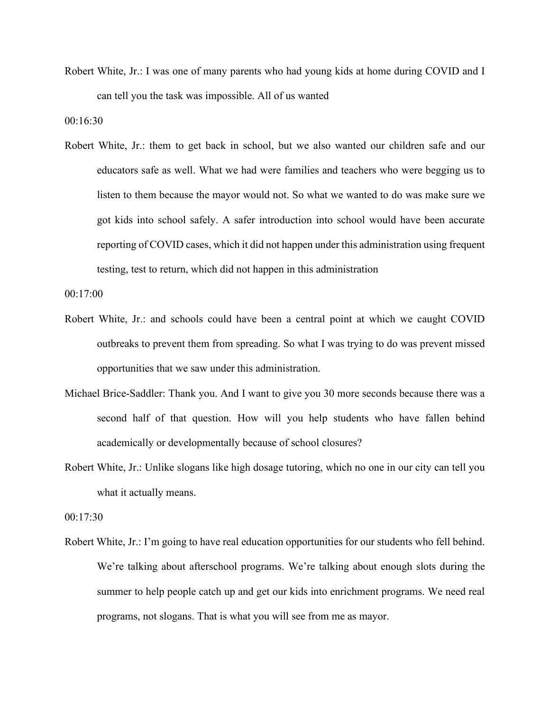Robert White, Jr.: I was one of many parents who had young kids at home during COVID and I can tell you the task was impossible. All of us wanted

00:16:30

Robert White, Jr.: them to get back in school, but we also wanted our children safe and our educators safe as well. What we had were families and teachers who were begging us to listen to them because the mayor would not. So what we wanted to do was make sure we got kids into school safely. A safer introduction into school would have been accurate reporting of COVID cases, which it did not happen under this administration using frequent testing, test to return, which did not happen in this administration

00:17:00

- Robert White, Jr.: and schools could have been a central point at which we caught COVID outbreaks to prevent them from spreading. So what I was trying to do was prevent missed opportunities that we saw under this administration.
- Michael Brice-Saddler: Thank you. And I want to give you 30 more seconds because there was a second half of that question. How will you help students who have fallen behind academically or developmentally because of school closures?
- Robert White, Jr.: Unlike slogans like high dosage tutoring, which no one in our city can tell you what it actually means.

00:17:30

Robert White, Jr.: I'm going to have real education opportunities for our students who fell behind. We're talking about afterschool programs. We're talking about enough slots during the summer to help people catch up and get our kids into enrichment programs. We need real programs, not slogans. That is what you will see from me as mayor.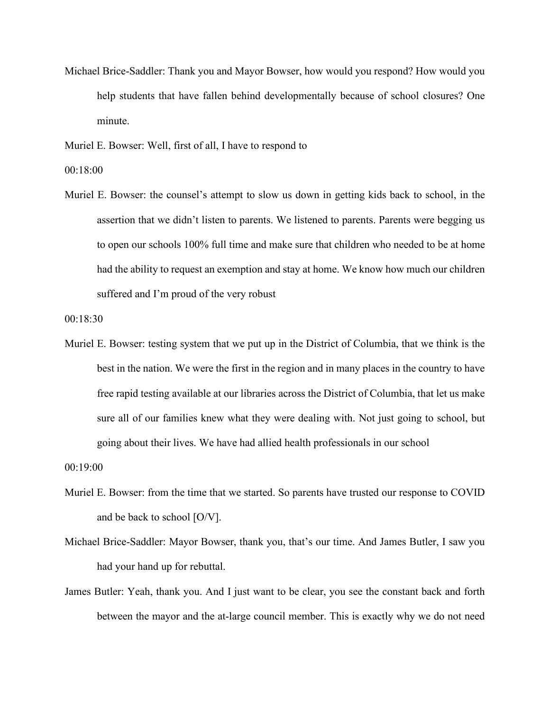Michael Brice-Saddler: Thank you and Mayor Bowser, how would you respond? How would you help students that have fallen behind developmentally because of school closures? One minute.

Muriel E. Bowser: Well, first of all, I have to respond to

00:18:00

Muriel E. Bowser: the counsel's attempt to slow us down in getting kids back to school, in the assertion that we didn't listen to parents. We listened to parents. Parents were begging us to open our schools 100% full time and make sure that children who needed to be at home had the ability to request an exemption and stay at home. We know how much our children suffered and I'm proud of the very robust

00:18:30

Muriel E. Bowser: testing system that we put up in the District of Columbia, that we think is the best in the nation. We were the first in the region and in many places in the country to have free rapid testing available at our libraries across the District of Columbia, that let us make sure all of our families knew what they were dealing with. Not just going to school, but going about their lives. We have had allied health professionals in our school

00:19:00

- Muriel E. Bowser: from the time that we started. So parents have trusted our response to COVID and be back to school [O/V].
- Michael Brice-Saddler: Mayor Bowser, thank you, that's our time. And James Butler, I saw you had your hand up for rebuttal.
- James Butler: Yeah, thank you. And I just want to be clear, you see the constant back and forth between the mayor and the at-large council member. This is exactly why we do not need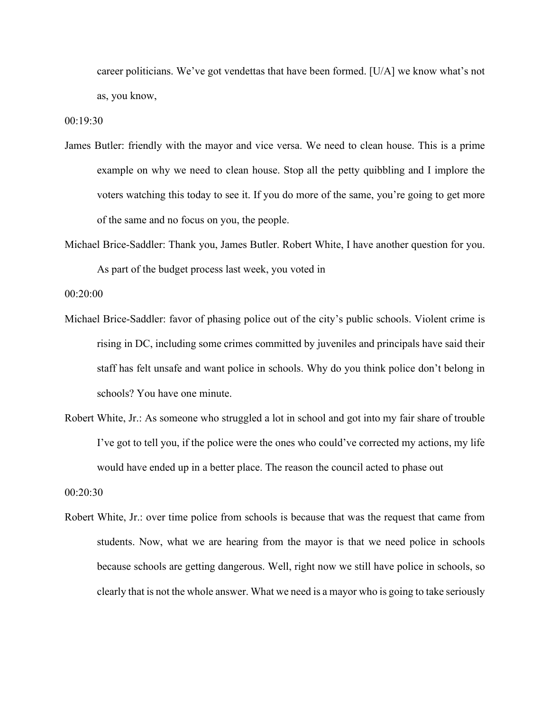career politicians. We've got vendettas that have been formed. [U/A] we know what's not as, you know,

00:19:30

- James Butler: friendly with the mayor and vice versa. We need to clean house. This is a prime example on why we need to clean house. Stop all the petty quibbling and I implore the voters watching this today to see it. If you do more of the same, you're going to get more of the same and no focus on you, the people.
- Michael Brice-Saddler: Thank you, James Butler. Robert White, I have another question for you. As part of the budget process last week, you voted in

00:20:00

- Michael Brice-Saddler: favor of phasing police out of the city's public schools. Violent crime is rising in DC, including some crimes committed by juveniles and principals have said their staff has felt unsafe and want police in schools. Why do you think police don't belong in schools? You have one minute.
- Robert White, Jr.: As someone who struggled a lot in school and got into my fair share of trouble I've got to tell you, if the police were the ones who could've corrected my actions, my life would have ended up in a better place. The reason the council acted to phase out

00:20:30

Robert White, Jr.: over time police from schools is because that was the request that came from students. Now, what we are hearing from the mayor is that we need police in schools because schools are getting dangerous. Well, right now we still have police in schools, so clearly that is not the whole answer. What we need is a mayor who is going to take seriously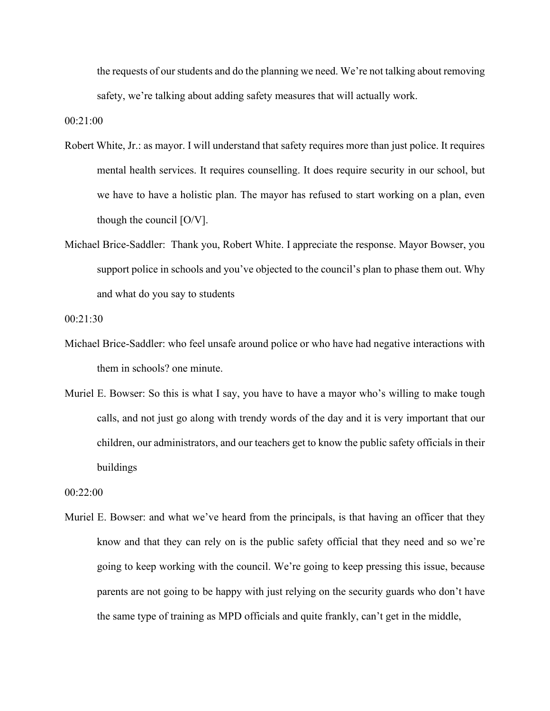the requests of our students and do the planning we need. We're not talking about removing safety, we're talking about adding safety measures that will actually work.

00:21:00

- Robert White, Jr.: as mayor. I will understand that safety requires more than just police. It requires mental health services. It requires counselling. It does require security in our school, but we have to have a holistic plan. The mayor has refused to start working on a plan, even though the council [O/V].
- Michael Brice-Saddler: Thank you, Robert White. I appreciate the response. Mayor Bowser, you support police in schools and you've objected to the council's plan to phase them out. Why and what do you say to students

00:21:30

- Michael Brice-Saddler: who feel unsafe around police or who have had negative interactions with them in schools? one minute.
- Muriel E. Bowser: So this is what I say, you have to have a mayor who's willing to make tough calls, and not just go along with trendy words of the day and it is very important that our children, our administrators, and our teachers get to know the public safety officials in their buildings

00:22:00

Muriel E. Bowser: and what we've heard from the principals, is that having an officer that they know and that they can rely on is the public safety official that they need and so we're going to keep working with the council. We're going to keep pressing this issue, because parents are not going to be happy with just relying on the security guards who don't have the same type of training as MPD officials and quite frankly, can't get in the middle,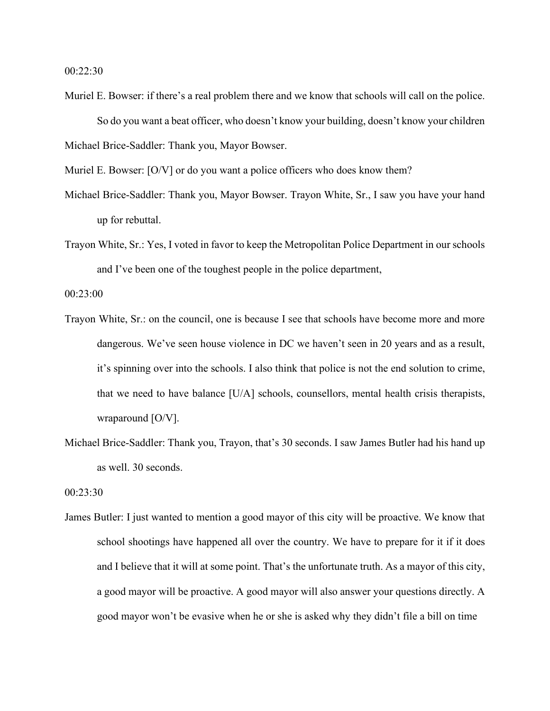00:22:30

- Muriel E. Bowser: if there's a real problem there and we know that schools will call on the police. So do you want a beat officer, who doesn't know your building, doesn't know your children Michael Brice-Saddler: Thank you, Mayor Bowser.
- Muriel E. Bowser: [O/V] or do you want a police officers who does know them?
- Michael Brice-Saddler: Thank you, Mayor Bowser. Trayon White, Sr., I saw you have your hand up for rebuttal.
- Trayon White, Sr.: Yes, I voted in favor to keep the Metropolitan Police Department in our schools and I've been one of the toughest people in the police department,

00:23:00

- Trayon White, Sr.: on the council, one is because I see that schools have become more and more dangerous. We've seen house violence in DC we haven't seen in 20 years and as a result, it's spinning over into the schools. I also think that police is not the end solution to crime, that we need to have balance [U/A] schools, counsellors, mental health crisis therapists, wraparound [O/V].
- Michael Brice-Saddler: Thank you, Trayon, that's 30 seconds. I saw James Butler had his hand up as well. 30 seconds.

00:23:30

James Butler: I just wanted to mention a good mayor of this city will be proactive. We know that school shootings have happened all over the country. We have to prepare for it if it does and I believe that it will at some point. That's the unfortunate truth. As a mayor of this city, a good mayor will be proactive. A good mayor will also answer your questions directly. A good mayor won't be evasive when he or she is asked why they didn't file a bill on time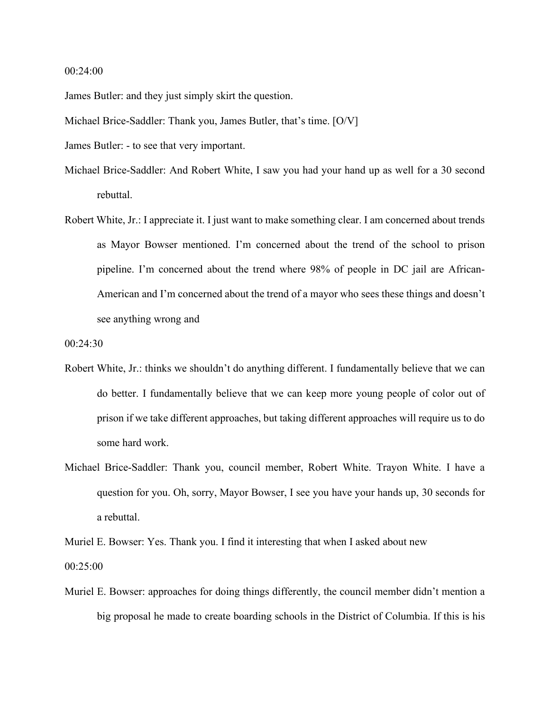## 00:24:00

James Butler: and they just simply skirt the question.

Michael Brice-Saddler: Thank you, James Butler, that's time. [O/V]

James Butler: - to see that very important.

- Michael Brice-Saddler: And Robert White, I saw you had your hand up as well for a 30 second rebuttal.
- Robert White, Jr.: I appreciate it. I just want to make something clear. I am concerned about trends as Mayor Bowser mentioned. I'm concerned about the trend of the school to prison pipeline. I'm concerned about the trend where 98% of people in DC jail are African-American and I'm concerned about the trend of a mayor who sees these things and doesn't see anything wrong and

00:24:30

- Robert White, Jr.: thinks we shouldn't do anything different. I fundamentally believe that we can do better. I fundamentally believe that we can keep more young people of color out of prison if we take different approaches, but taking different approaches will require us to do some hard work.
- Michael Brice-Saddler: Thank you, council member, Robert White. Trayon White. I have a question for you. Oh, sorry, Mayor Bowser, I see you have your hands up, 30 seconds for a rebuttal.

Muriel E. Bowser: Yes. Thank you. I find it interesting that when I asked about new

00:25:00

Muriel E. Bowser: approaches for doing things differently, the council member didn't mention a big proposal he made to create boarding schools in the District of Columbia. If this is his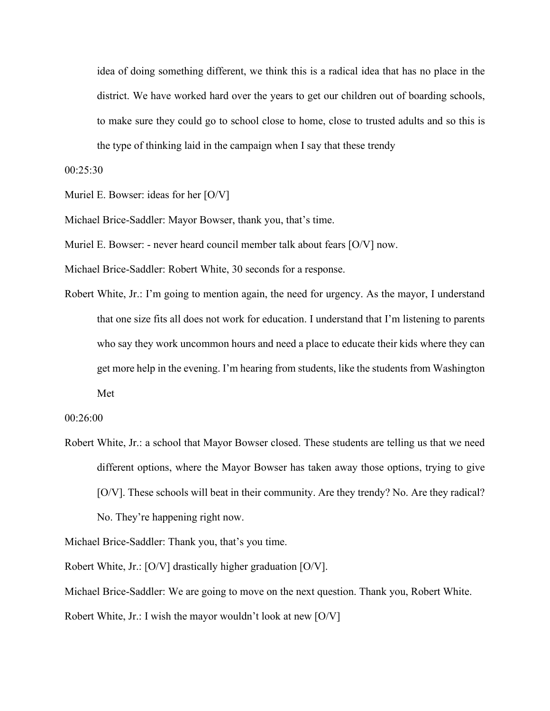idea of doing something different, we think this is a radical idea that has no place in the district. We have worked hard over the years to get our children out of boarding schools, to make sure they could go to school close to home, close to trusted adults and so this is the type of thinking laid in the campaign when I say that these trendy

00:25:30

Muriel E. Bowser: ideas for her [O/V]

Michael Brice-Saddler: Mayor Bowser, thank you, that's time.

Muriel E. Bowser: - never heard council member talk about fears [O/V] now.

Michael Brice-Saddler: Robert White, 30 seconds for a response.

Robert White, Jr.: I'm going to mention again, the need for urgency. As the mayor, I understand that one size fits all does not work for education. I understand that I'm listening to parents who say they work uncommon hours and need a place to educate their kids where they can get more help in the evening. I'm hearing from students, like the students from Washington Met

00:26:00

Robert White, Jr.: a school that Mayor Bowser closed. These students are telling us that we need different options, where the Mayor Bowser has taken away those options, trying to give [O/V]. These schools will beat in their community. Are they trendy? No. Are they radical? No. They're happening right now.

Michael Brice-Saddler: Thank you, that's you time.

Robert White, Jr.: [O/V] drastically higher graduation [O/V].

Michael Brice-Saddler: We are going to move on the next question. Thank you, Robert White.

Robert White, Jr.: I wish the mayor wouldn't look at new [O/V]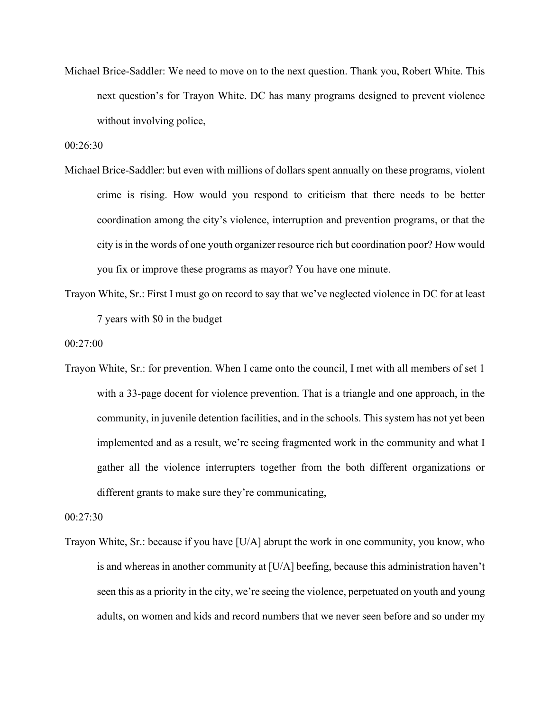Michael Brice-Saddler: We need to move on to the next question. Thank you, Robert White. This next question's for Trayon White. DC has many programs designed to prevent violence without involving police,

00:26:30

- Michael Brice-Saddler: but even with millions of dollars spent annually on these programs, violent crime is rising. How would you respond to criticism that there needs to be better coordination among the city's violence, interruption and prevention programs, or that the city is in the words of one youth organizer resource rich but coordination poor? How would you fix or improve these programs as mayor? You have one minute.
- Trayon White, Sr.: First I must go on record to say that we've neglected violence in DC for at least 7 years with \$0 in the budget

00:27:00

Trayon White, Sr.: for prevention. When I came onto the council, I met with all members of set 1 with a 33-page docent for violence prevention. That is a triangle and one approach, in the community, in juvenile detention facilities, and in the schools. This system has not yet been implemented and as a result, we're seeing fragmented work in the community and what I gather all the violence interrupters together from the both different organizations or different grants to make sure they're communicating,

00:27:30

Trayon White, Sr.: because if you have [U/A] abrupt the work in one community, you know, who is and whereas in another community at [U/A] beefing, because this administration haven't seen this as a priority in the city, we're seeing the violence, perpetuated on youth and young adults, on women and kids and record numbers that we never seen before and so under my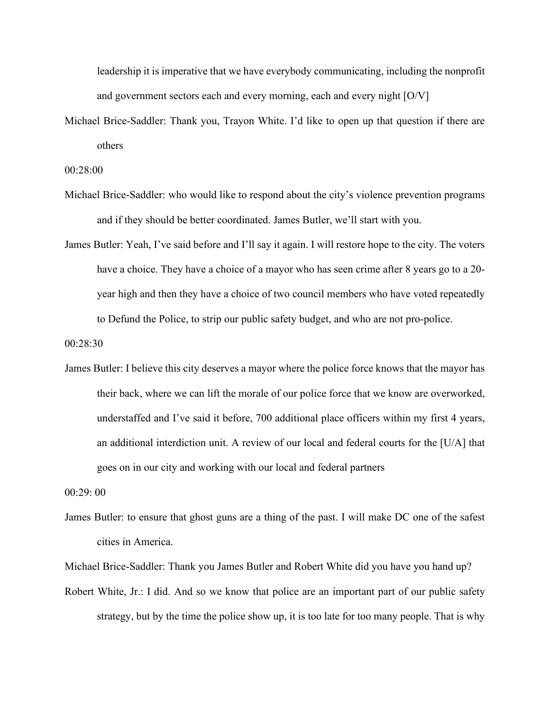leadership it is imperative that we have everybody communicating, including the nonprofit and government sectors each and every morning, each and every night [O/V]

Michael Brice-Saddler: Thank you, Trayon White. I'd like to open up that question if there are others

00:28:00

- Michael Brice-Saddler: who would like to respond about the city's violence prevention programs and if they should be better coordinated. James Butler, we'll start with you.
- James Butler: Yeah, I've said before and I'll say it again. I will restore hope to the city. The voters have a choice. They have a choice of a mayor who has seen crime after 8 years go to a 20 year high and then they have a choice of two council members who have voted repeatedly to Defund the Police, to strip our public safety budget, and who are not pro-police.

00:28:30

James Butler: I believe this city deserves a mayor where the police force knows that the mayor has their back, where we can lift the morale of our police force that we know are overworked, understaffed and I've said it before, 700 additional place officers within my first 4 years, an additional interdiction unit. A review of our local and federal courts for the [U/A] that goes on in our city and working with our local and federal partners

00:29: 00

James Butler: to ensure that ghost guns are a thing of the past. I will make DC one of the safest cities in America.

Michael Brice-Saddler: Thank you James Butler and Robert White did you have you hand up?

Robert White, Jr.: I did. And so we know that police are an important part of our public safety strategy, but by the time the police show up, it is too late for too many people. That is why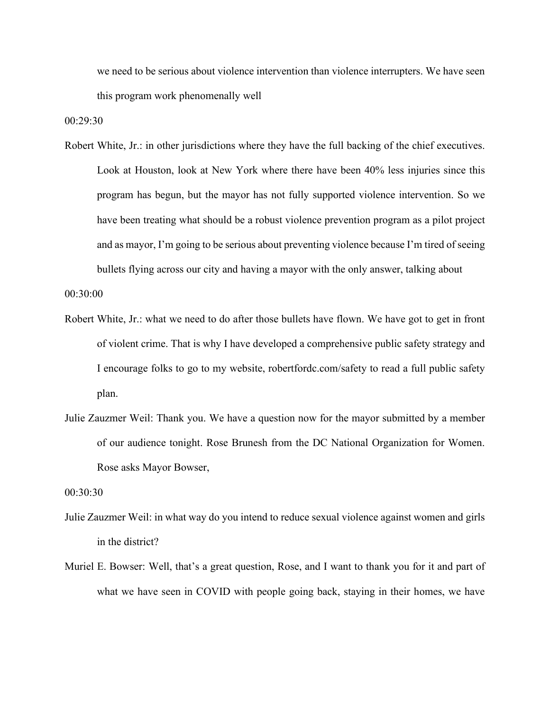we need to be serious about violence intervention than violence interrupters. We have seen this program work phenomenally well

00:29:30

Robert White, Jr.: in other jurisdictions where they have the full backing of the chief executives. Look at Houston, look at New York where there have been 40% less injuries since this program has begun, but the mayor has not fully supported violence intervention. So we have been treating what should be a robust violence prevention program as a pilot project and as mayor, I'm going to be serious about preventing violence because I'm tired of seeing bullets flying across our city and having a mayor with the only answer, talking about

00:30:00

- Robert White, Jr.: what we need to do after those bullets have flown. We have got to get in front of violent crime. That is why I have developed a comprehensive public safety strategy and I encourage folks to go to my website, robertfordc.com/safety to read a full public safety plan.
- Julie Zauzmer Weil: Thank you. We have a question now for the mayor submitted by a member of our audience tonight. Rose Brunesh from the DC National Organization for Women. Rose asks Mayor Bowser,

00:30:30

- Julie Zauzmer Weil: in what way do you intend to reduce sexual violence against women and girls in the district?
- Muriel E. Bowser: Well, that's a great question, Rose, and I want to thank you for it and part of what we have seen in COVID with people going back, staying in their homes, we have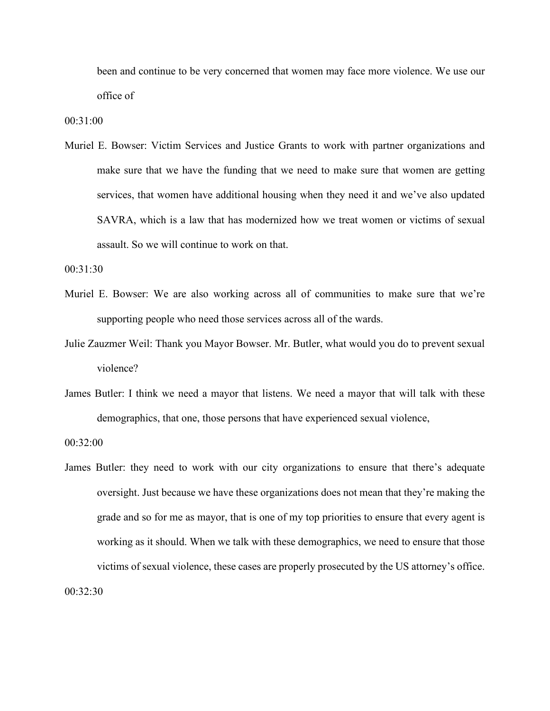been and continue to be very concerned that women may face more violence. We use our office of

00:31:00

Muriel E. Bowser: Victim Services and Justice Grants to work with partner organizations and make sure that we have the funding that we need to make sure that women are getting services, that women have additional housing when they need it and we've also updated SAVRA, which is a law that has modernized how we treat women or victims of sexual assault. So we will continue to work on that.

00:31:30

- Muriel E. Bowser: We are also working across all of communities to make sure that we're supporting people who need those services across all of the wards.
- Julie Zauzmer Weil: Thank you Mayor Bowser. Mr. Butler, what would you do to prevent sexual violence?
- James Butler: I think we need a mayor that listens. We need a mayor that will talk with these demographics, that one, those persons that have experienced sexual violence,

00:32:00

James Butler: they need to work with our city organizations to ensure that there's adequate oversight. Just because we have these organizations does not mean that they're making the grade and so for me as mayor, that is one of my top priorities to ensure that every agent is working as it should. When we talk with these demographics, we need to ensure that those victims of sexual violence, these cases are properly prosecuted by the US attorney's office. 00:32:30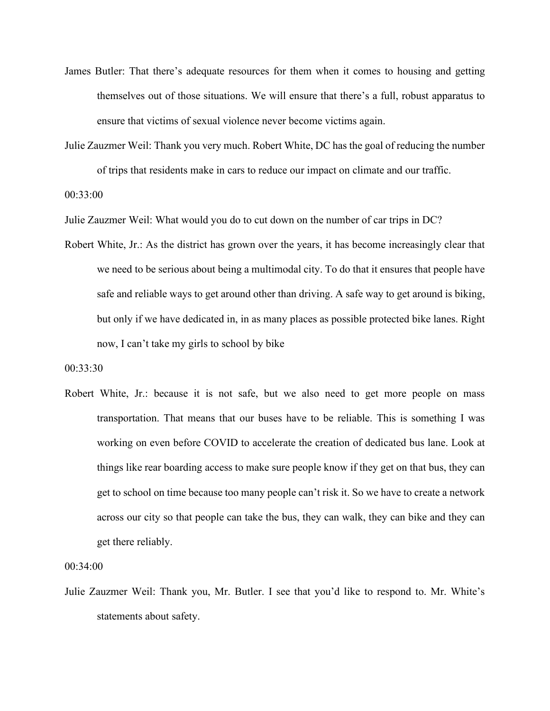- James Butler: That there's adequate resources for them when it comes to housing and getting themselves out of those situations. We will ensure that there's a full, robust apparatus to ensure that victims of sexual violence never become victims again.
- Julie Zauzmer Weil: Thank you very much. Robert White, DC has the goal of reducing the number of trips that residents make in cars to reduce our impact on climate and our traffic.

00:33:00

Julie Zauzmer Weil: What would you do to cut down on the number of car trips in DC?

Robert White, Jr.: As the district has grown over the years, it has become increasingly clear that we need to be serious about being a multimodal city. To do that it ensures that people have safe and reliable ways to get around other than driving. A safe way to get around is biking, but only if we have dedicated in, in as many places as possible protected bike lanes. Right now, I can't take my girls to school by bike

00:33:30

Robert White, Jr.: because it is not safe, but we also need to get more people on mass transportation. That means that our buses have to be reliable. This is something I was working on even before COVID to accelerate the creation of dedicated bus lane. Look at things like rear boarding access to make sure people know if they get on that bus, they can get to school on time because too many people can't risk it. So we have to create a network across our city so that people can take the bus, they can walk, they can bike and they can get there reliably.

00:34:00

Julie Zauzmer Weil: Thank you, Mr. Butler. I see that you'd like to respond to. Mr. White's statements about safety.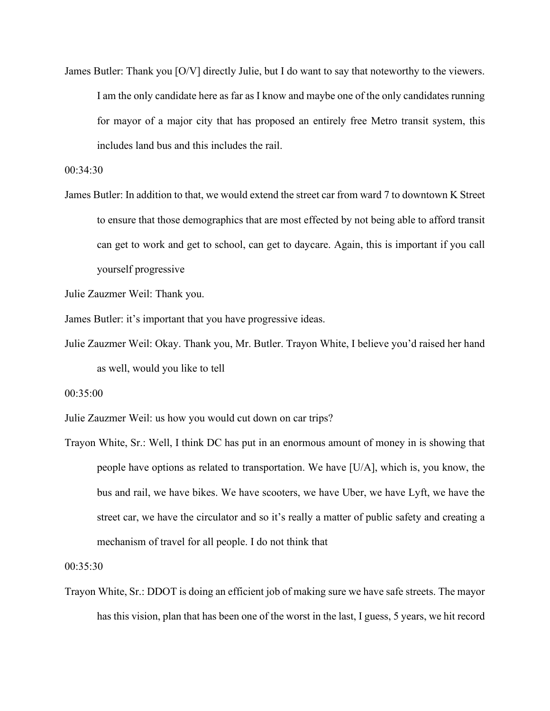James Butler: Thank you [O/V] directly Julie, but I do want to say that noteworthy to the viewers. I am the only candidate here as far as I know and maybe one of the only candidates running for mayor of a major city that has proposed an entirely free Metro transit system, this includes land bus and this includes the rail.

00:34:30

James Butler: In addition to that, we would extend the street car from ward 7 to downtown K Street to ensure that those demographics that are most effected by not being able to afford transit can get to work and get to school, can get to daycare. Again, this is important if you call yourself progressive

Julie Zauzmer Weil: Thank you.

James Butler: it's important that you have progressive ideas.

Julie Zauzmer Weil: Okay. Thank you, Mr. Butler. Trayon White, I believe you'd raised her hand as well, would you like to tell

00:35:00

Julie Zauzmer Weil: us how you would cut down on car trips?

Trayon White, Sr.: Well, I think DC has put in an enormous amount of money in is showing that people have options as related to transportation. We have [U/A], which is, you know, the bus and rail, we have bikes. We have scooters, we have Uber, we have Lyft, we have the street car, we have the circulator and so it's really a matter of public safety and creating a mechanism of travel for all people. I do not think that

00:35:30

Trayon White, Sr.: DDOT is doing an efficient job of making sure we have safe streets. The mayor has this vision, plan that has been one of the worst in the last, I guess, 5 years, we hit record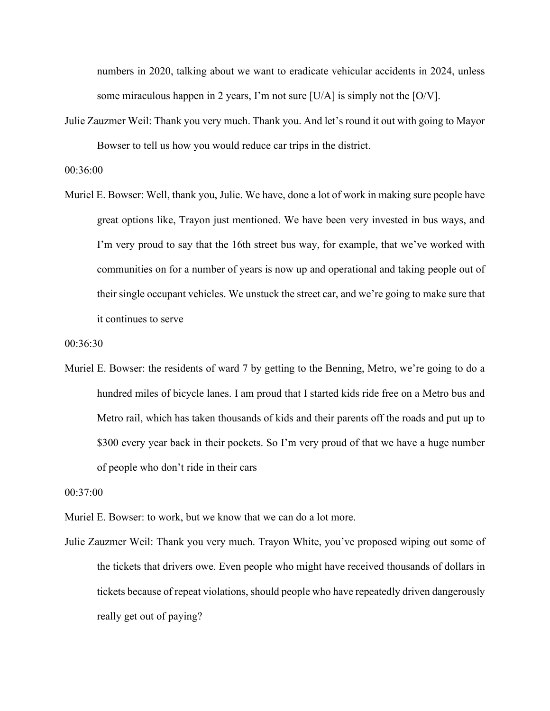numbers in 2020, talking about we want to eradicate vehicular accidents in 2024, unless some miraculous happen in 2 years, I'm not sure [U/A] is simply not the [O/V].

Julie Zauzmer Weil: Thank you very much. Thank you. And let's round it out with going to Mayor Bowser to tell us how you would reduce car trips in the district.

00:36:00

Muriel E. Bowser: Well, thank you, Julie. We have, done a lot of work in making sure people have great options like, Trayon just mentioned. We have been very invested in bus ways, and I'm very proud to say that the 16th street bus way, for example, that we've worked with communities on for a number of years is now up and operational and taking people out of their single occupant vehicles. We unstuck the street car, and we're going to make sure that it continues to serve

00:36:30

Muriel E. Bowser: the residents of ward 7 by getting to the Benning, Metro, we're going to do a hundred miles of bicycle lanes. I am proud that I started kids ride free on a Metro bus and Metro rail, which has taken thousands of kids and their parents off the roads and put up to \$300 every year back in their pockets. So I'm very proud of that we have a huge number of people who don't ride in their cars

00:37:00

Muriel E. Bowser: to work, but we know that we can do a lot more.

Julie Zauzmer Weil: Thank you very much. Trayon White, you've proposed wiping out some of the tickets that drivers owe. Even people who might have received thousands of dollars in tickets because of repeat violations, should people who have repeatedly driven dangerously really get out of paying?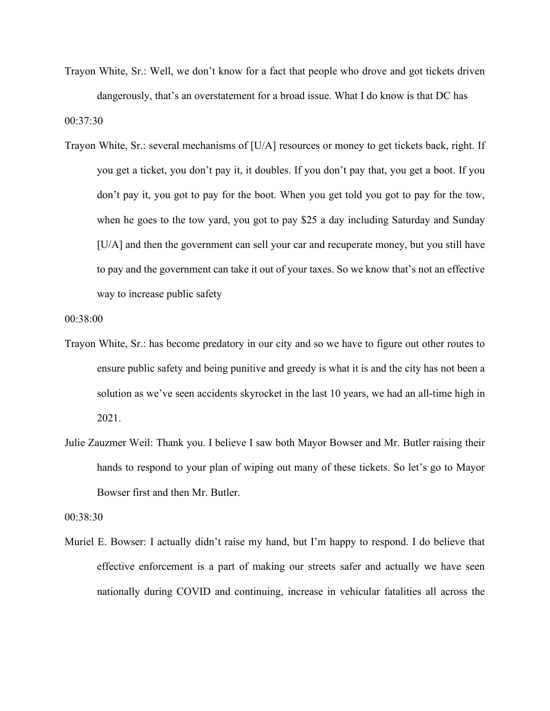- Trayon White, Sr.: Well, we don't know for a fact that people who drove and got tickets driven dangerously, that's an overstatement for a broad issue. What I do know is that DC has 00:37:30
- Trayon White, Sr.: several mechanisms of [U/A] resources or money to get tickets back, right. If you get a ticket, you don't pay it, it doubles. If you don't pay that, you get a boot. If you don't pay it, you got to pay for the boot. When you get told you got to pay for the tow, when he goes to the tow yard, you got to pay \$25 a day including Saturday and Sunday [U/A] and then the government can sell your car and recuperate money, but you still have to pay and the government can take it out of your taxes. So we know that's not an effective way to increase public safety

00:38:00

- Trayon White, Sr.: has become predatory in our city and so we have to figure out other routes to ensure public safety and being punitive and greedy is what it is and the city has not been a solution as we've seen accidents skyrocket in the last 10 years, we had an all-time high in 2021.
- Julie Zauzmer Weil: Thank you. I believe I saw both Mayor Bowser and Mr. Butler raising their hands to respond to your plan of wiping out many of these tickets. So let's go to Mayor Bowser first and then Mr. Butler.

00:38:30

Muriel E. Bowser: I actually didn't raise my hand, but I'm happy to respond. I do believe that effective enforcement is a part of making our streets safer and actually we have seen nationally during COVID and continuing, increase in vehicular fatalities all across the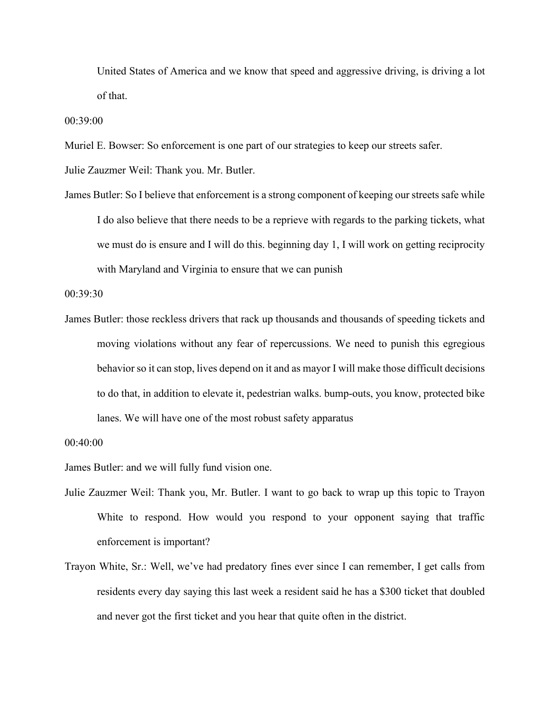United States of America and we know that speed and aggressive driving, is driving a lot of that.

00:39:00

Muriel E. Bowser: So enforcement is one part of our strategies to keep our streets safer.

Julie Zauzmer Weil: Thank you. Mr. Butler.

James Butler: So I believe that enforcement is a strong component of keeping our streets safe while I do also believe that there needs to be a reprieve with regards to the parking tickets, what we must do is ensure and I will do this. beginning day 1, I will work on getting reciprocity with Maryland and Virginia to ensure that we can punish

00:39:30

James Butler: those reckless drivers that rack up thousands and thousands of speeding tickets and moving violations without any fear of repercussions. We need to punish this egregious behavior so it can stop, lives depend on it and as mayor I will make those difficult decisions to do that, in addition to elevate it, pedestrian walks. bump-outs, you know, protected bike lanes. We will have one of the most robust safety apparatus

James Butler: and we will fully fund vision one.

- Julie Zauzmer Weil: Thank you, Mr. Butler. I want to go back to wrap up this topic to Trayon White to respond. How would you respond to your opponent saying that traffic enforcement is important?
- Trayon White, Sr.: Well, we've had predatory fines ever since I can remember, I get calls from residents every day saying this last week a resident said he has a \$300 ticket that doubled and never got the first ticket and you hear that quite often in the district.

<sup>00:40:00</sup>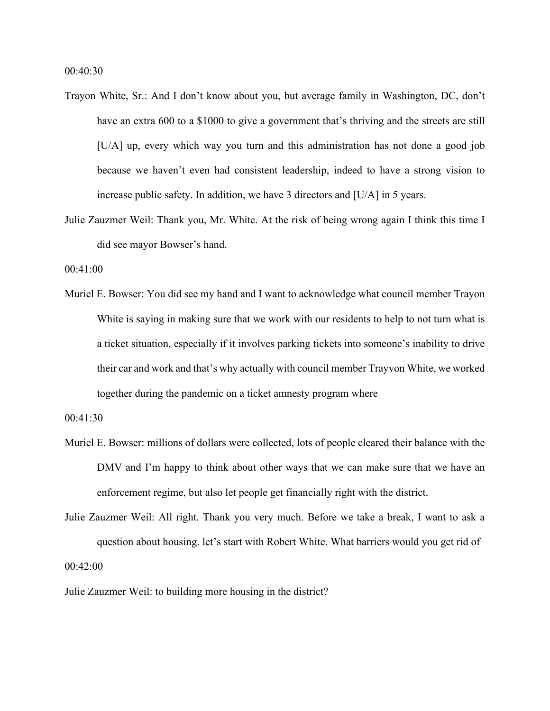00:40:30

- Trayon White, Sr.: And I don't know about you, but average family in Washington, DC, don't have an extra 600 to a \$1000 to give a government that's thriving and the streets are still [U/A] up, every which way you turn and this administration has not done a good job because we haven't even had consistent leadership, indeed to have a strong vision to increase public safety. In addition, we have 3 directors and [U/A] in 5 years.
- Julie Zauzmer Weil: Thank you, Mr. White. At the risk of being wrong again I think this time I did see mayor Bowser's hand.

00:41:00

Muriel E. Bowser: You did see my hand and I want to acknowledge what council member Trayon White is saying in making sure that we work with our residents to help to not turn what is a ticket situation, especially if it involves parking tickets into someone's inability to drive their car and work and that's why actually with council member Trayvon White, we worked together during the pandemic on a ticket amnesty program where

00:41:30

Muriel E. Bowser: millions of dollars were collected, lots of people cleared their balance with the DMV and I'm happy to think about other ways that we can make sure that we have an enforcement regime, but also let people get financially right with the district.

Julie Zauzmer Weil: All right. Thank you very much. Before we take a break, I want to ask a question about housing. let's start with Robert White. What barriers would you get rid of 00:42:00

Julie Zauzmer Weil: to building more housing in the district?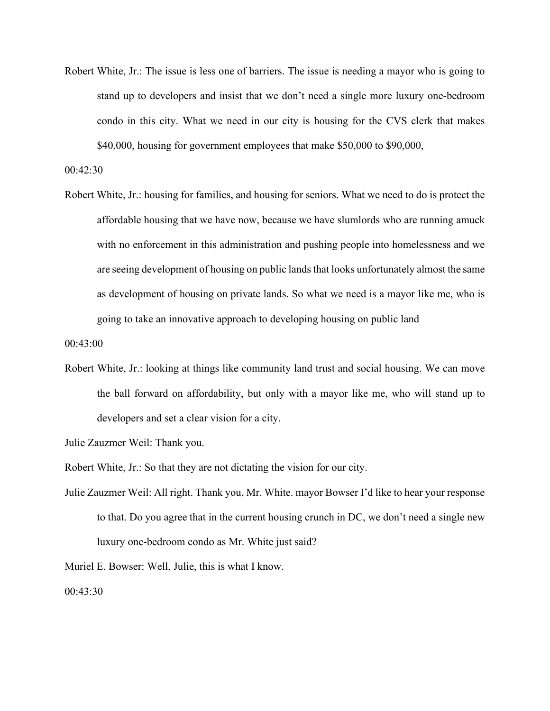Robert White, Jr.: The issue is less one of barriers. The issue is needing a mayor who is going to stand up to developers and insist that we don't need a single more luxury one-bedroom condo in this city. What we need in our city is housing for the CVS clerk that makes \$40,000, housing for government employees that make \$50,000 to \$90,000,

00:42:30

Robert White, Jr.: housing for families, and housing for seniors. What we need to do is protect the affordable housing that we have now, because we have slumlords who are running amuck with no enforcement in this administration and pushing people into homelessness and we are seeing development of housing on public lands that looks unfortunately almost the same as development of housing on private lands. So what we need is a mayor like me, who is going to take an innovative approach to developing housing on public land

00:43:00

Robert White, Jr.: looking at things like community land trust and social housing. We can move the ball forward on affordability, but only with a mayor like me, who will stand up to developers and set a clear vision for a city.

Julie Zauzmer Weil: Thank you.

Robert White, Jr.: So that they are not dictating the vision for our city.

Julie Zauzmer Weil: All right. Thank you, Mr. White. mayor Bowser I'd like to hear your response to that. Do you agree that in the current housing crunch in DC, we don't need a single new luxury one-bedroom condo as Mr. White just said?

Muriel E. Bowser: Well, Julie, this is what I know.

00:43:30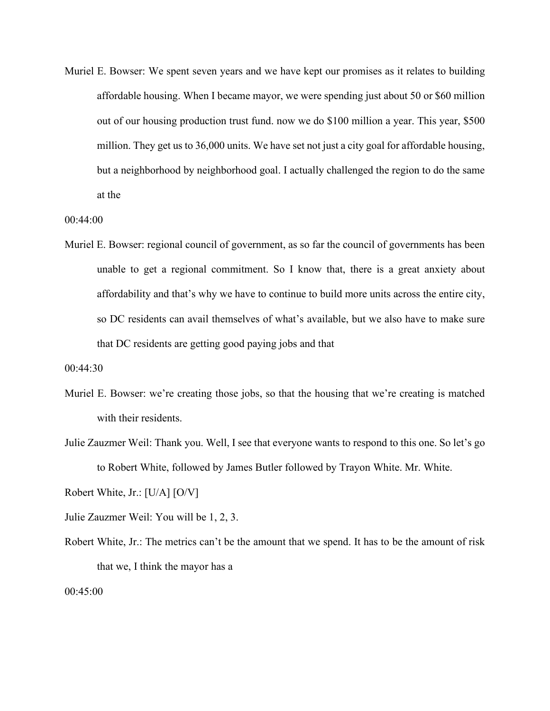Muriel E. Bowser: We spent seven years and we have kept our promises as it relates to building affordable housing. When I became mayor, we were spending just about 50 or \$60 million out of our housing production trust fund. now we do \$100 million a year. This year, \$500 million. They get us to 36,000 units. We have set not just a city goal for affordable housing, but a neighborhood by neighborhood goal. I actually challenged the region to do the same at the

00:44:00

Muriel E. Bowser: regional council of government, as so far the council of governments has been unable to get a regional commitment. So I know that, there is a great anxiety about affordability and that's why we have to continue to build more units across the entire city, so DC residents can avail themselves of what's available, but we also have to make sure that DC residents are getting good paying jobs and that

00:44:30

- Muriel E. Bowser: we're creating those jobs, so that the housing that we're creating is matched with their residents.
- Julie Zauzmer Weil: Thank you. Well, I see that everyone wants to respond to this one. So let's go to Robert White, followed by James Butler followed by Trayon White. Mr. White.

Robert White, Jr.: [U/A] [O/V]

- Julie Zauzmer Weil: You will be 1, 2, 3.
- Robert White, Jr.: The metrics can't be the amount that we spend. It has to be the amount of risk that we, I think the mayor has a

00:45:00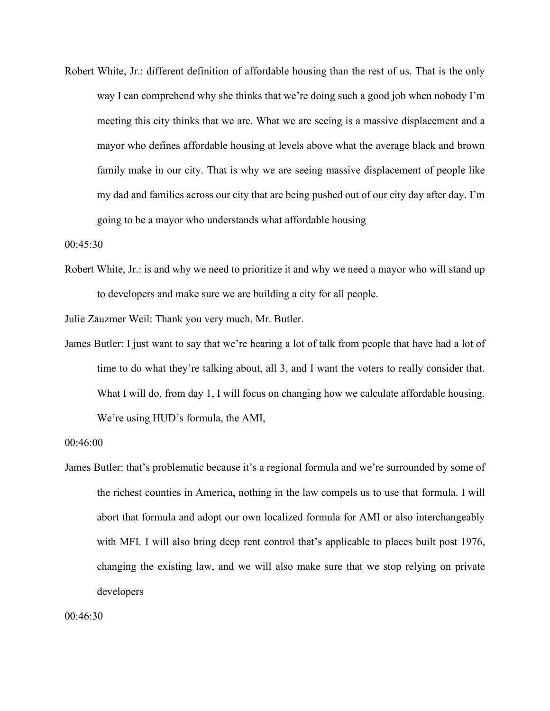Robert White, Jr.: different definition of affordable housing than the rest of us. That is the only way I can comprehend why she thinks that we're doing such a good job when nobody I'm meeting this city thinks that we are. What we are seeing is a massive displacement and a mayor who defines affordable housing at levels above what the average black and brown family make in our city. That is why we are seeing massive displacement of people like my dad and families across our city that are being pushed out of our city day after day. I'm going to be a mayor who understands what affordable housing

00:45:30

Robert White, Jr.: is and why we need to prioritize it and why we need a mayor who will stand up to developers and make sure we are building a city for all people.

Julie Zauzmer Weil: Thank you very much, Mr. Butler.

James Butler: I just want to say that we're hearing a lot of talk from people that have had a lot of time to do what they're talking about, all 3, and I want the voters to really consider that. What I will do, from day 1, I will focus on changing how we calculate affordable housing. We're using HUD's formula, the AMI,

James Butler: that's problematic because it's a regional formula and we're surrounded by some of the richest counties in America, nothing in the law compels us to use that formula. I will abort that formula and adopt our own localized formula for AMI or also interchangeably with MFI. I will also bring deep rent control that's applicable to places built post 1976, changing the existing law, and we will also make sure that we stop relying on private developers

<sup>00:46:00</sup>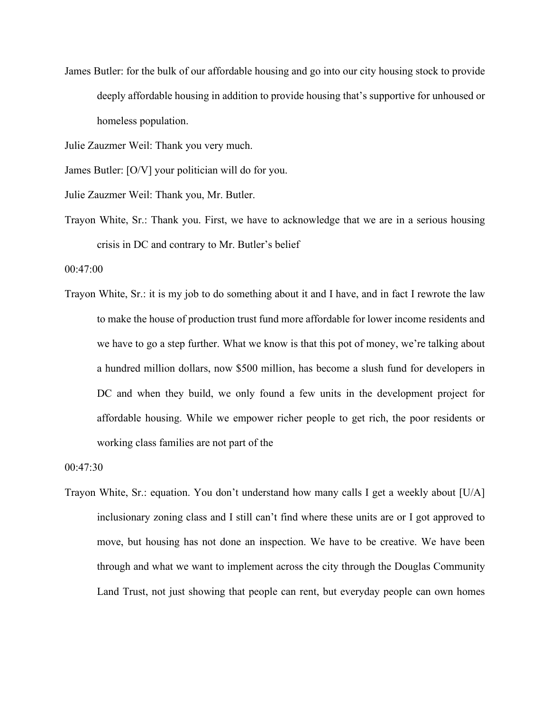James Butler: for the bulk of our affordable housing and go into our city housing stock to provide deeply affordable housing in addition to provide housing that's supportive for unhoused or homeless population.

Julie Zauzmer Weil: Thank you very much.

James Butler: [O/V] your politician will do for you.

Julie Zauzmer Weil: Thank you, Mr. Butler.

Trayon White, Sr.: Thank you. First, we have to acknowledge that we are in a serious housing crisis in DC and contrary to Mr. Butler's belief

00:47:00

Trayon White, Sr.: it is my job to do something about it and I have, and in fact I rewrote the law to make the house of production trust fund more affordable for lower income residents and we have to go a step further. What we know is that this pot of money, we're talking about a hundred million dollars, now \$500 million, has become a slush fund for developers in DC and when they build, we only found a few units in the development project for affordable housing. While we empower richer people to get rich, the poor residents or working class families are not part of the

00:47:30

Trayon White, Sr.: equation. You don't understand how many calls I get a weekly about [U/A] inclusionary zoning class and I still can't find where these units are or I got approved to move, but housing has not done an inspection. We have to be creative. We have been through and what we want to implement across the city through the Douglas Community Land Trust, not just showing that people can rent, but everyday people can own homes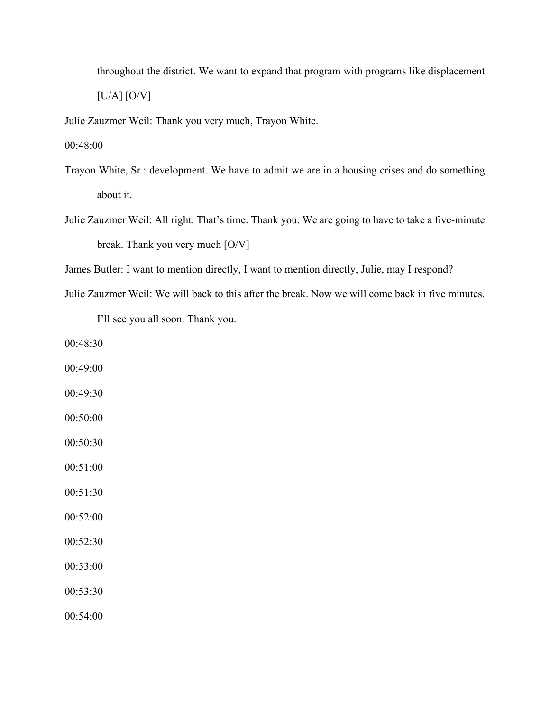throughout the district. We want to expand that program with programs like displacement  $[U/A]$   $[O/V]$ 

Julie Zauzmer Weil: Thank you very much, Trayon White.

00:48:00

- Trayon White, Sr.: development. We have to admit we are in a housing crises and do something about it.
- Julie Zauzmer Weil: All right. That's time. Thank you. We are going to have to take a five-minute break. Thank you very much [O/V]
- James Butler: I want to mention directly, I want to mention directly, Julie, may I respond?

Julie Zauzmer Weil: We will back to this after the break. Now we will come back in five minutes.

I'll see you all soon. Thank you.

00:48:30

- 00:49:00
- 00:49:30
- 00:50:00
- 00:50:30

00:51:00

- 00:51:30
- 00:52:00
- 00:52:30
- 00:53:00
- 00:53:30

00:54:00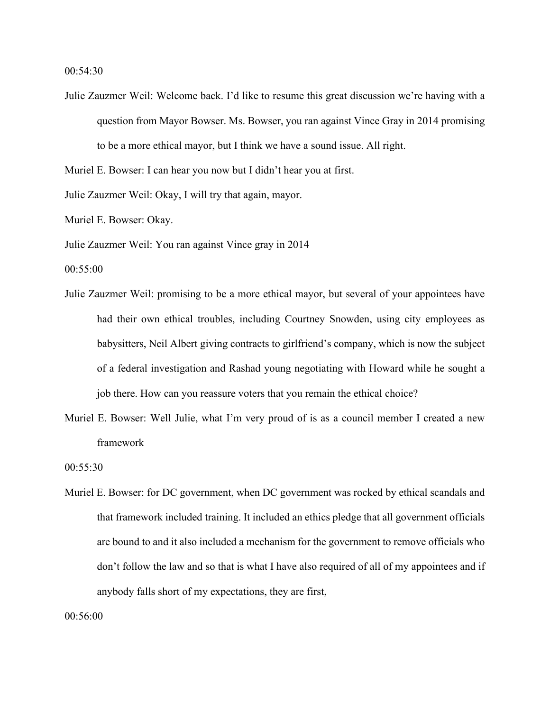00:54:30

Julie Zauzmer Weil: Welcome back. I'd like to resume this great discussion we're having with a question from Mayor Bowser. Ms. Bowser, you ran against Vince Gray in 2014 promising to be a more ethical mayor, but I think we have a sound issue. All right.

Muriel E. Bowser: I can hear you now but I didn't hear you at first.

Julie Zauzmer Weil: Okay, I will try that again, mayor.

Muriel E. Bowser: Okay.

Julie Zauzmer Weil: You ran against Vince gray in 2014

00:55:00

- Julie Zauzmer Weil: promising to be a more ethical mayor, but several of your appointees have had their own ethical troubles, including Courtney Snowden, using city employees as babysitters, Neil Albert giving contracts to girlfriend's company, which is now the subject of a federal investigation and Rashad young negotiating with Howard while he sought a job there. How can you reassure voters that you remain the ethical choice?
- Muriel E. Bowser: Well Julie, what I'm very proud of is as a council member I created a new framework

00:55:30

Muriel E. Bowser: for DC government, when DC government was rocked by ethical scandals and that framework included training. It included an ethics pledge that all government officials are bound to and it also included a mechanism for the government to remove officials who don't follow the law and so that is what I have also required of all of my appointees and if anybody falls short of my expectations, they are first,

00:56:00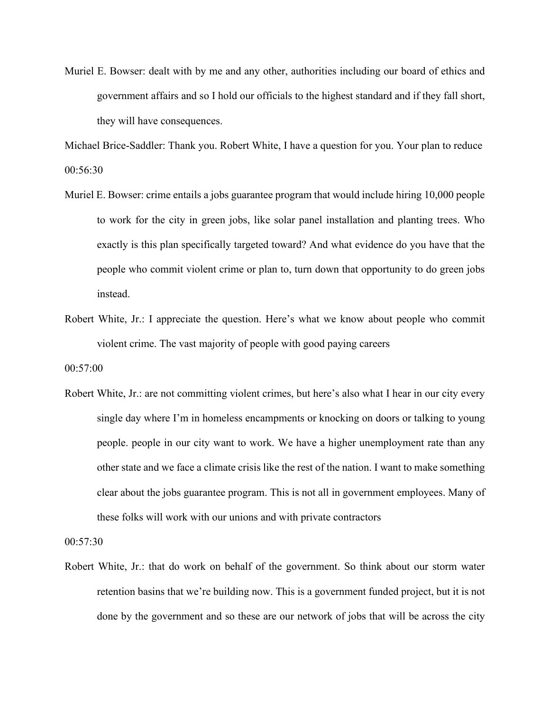Muriel E. Bowser: dealt with by me and any other, authorities including our board of ethics and government affairs and so I hold our officials to the highest standard and if they fall short, they will have consequences.

Michael Brice-Saddler: Thank you. Robert White, I have a question for you. Your plan to reduce 00:56:30

- Muriel E. Bowser: crime entails a jobs guarantee program that would include hiring 10,000 people to work for the city in green jobs, like solar panel installation and planting trees. Who exactly is this plan specifically targeted toward? And what evidence do you have that the people who commit violent crime or plan to, turn down that opportunity to do green jobs instead.
- Robert White, Jr.: I appreciate the question. Here's what we know about people who commit violent crime. The vast majority of people with good paying careers

00:57:00

Robert White, Jr.: are not committing violent crimes, but here's also what I hear in our city every single day where I'm in homeless encampments or knocking on doors or talking to young people. people in our city want to work. We have a higher unemployment rate than any other state and we face a climate crisis like the rest of the nation. I want to make something clear about the jobs guarantee program. This is not all in government employees. Many of these folks will work with our unions and with private contractors

00:57:30

Robert White, Jr.: that do work on behalf of the government. So think about our storm water retention basins that we're building now. This is a government funded project, but it is not done by the government and so these are our network of jobs that will be across the city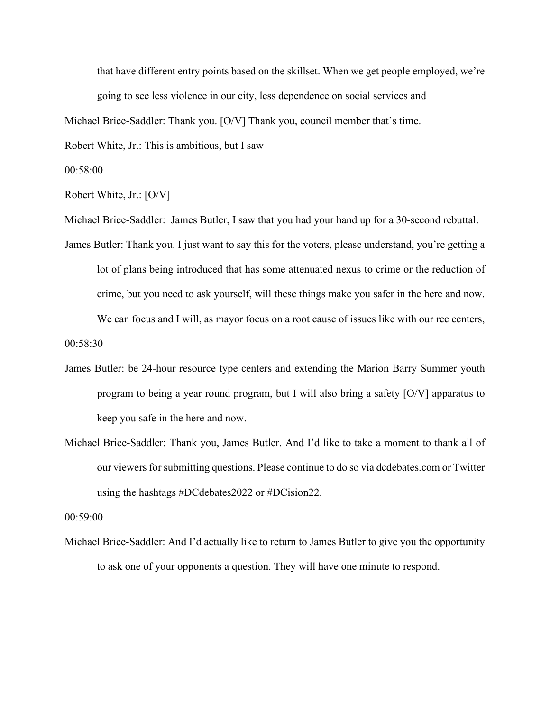that have different entry points based on the skillset. When we get people employed, we're going to see less violence in our city, less dependence on social services and

Michael Brice-Saddler: Thank you. [O/V] Thank you, council member that's time.

Robert White, Jr.: This is ambitious, but I saw

00:58:00

Robert White, Jr.: [O/V]

Michael Brice-Saddler: James Butler, I saw that you had your hand up for a 30-second rebuttal.

- James Butler: Thank you. I just want to say this for the voters, please understand, you're getting a lot of plans being introduced that has some attenuated nexus to crime or the reduction of crime, but you need to ask yourself, will these things make you safer in the here and now. We can focus and I will, as mayor focus on a root cause of issues like with our rec centers, 00:58:30
- James Butler: be 24-hour resource type centers and extending the Marion Barry Summer youth program to being a year round program, but I will also bring a safety [O/V] apparatus to keep you safe in the here and now.
- Michael Brice-Saddler: Thank you, James Butler. And I'd like to take a moment to thank all of our viewers for submitting questions. Please continue to do so via dcdebates.com or Twitter using the hashtags #DCdebates2022 or #DCision22.

00:59:00

Michael Brice-Saddler: And I'd actually like to return to James Butler to give you the opportunity to ask one of your opponents a question. They will have one minute to respond.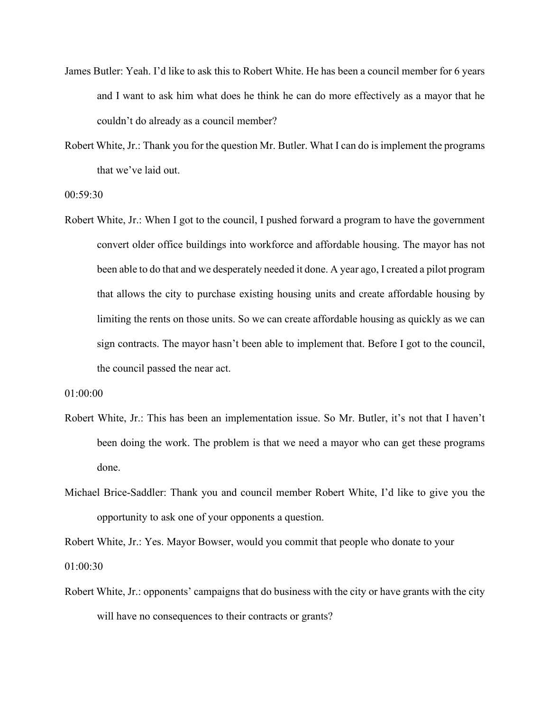- James Butler: Yeah. I'd like to ask this to Robert White. He has been a council member for 6 years and I want to ask him what does he think he can do more effectively as a mayor that he couldn't do already as a council member?
- Robert White, Jr.: Thank you for the question Mr. Butler. What I can do is implement the programs that we've laid out.

00:59:30

Robert White, Jr.: When I got to the council, I pushed forward a program to have the government convert older office buildings into workforce and affordable housing. The mayor has not been able to do that and we desperately needed it done. A year ago, I created a pilot program that allows the city to purchase existing housing units and create affordable housing by limiting the rents on those units. So we can create affordable housing as quickly as we can sign contracts. The mayor hasn't been able to implement that. Before I got to the council, the council passed the near act.

01:00:00

- Robert White, Jr.: This has been an implementation issue. So Mr. Butler, it's not that I haven't been doing the work. The problem is that we need a mayor who can get these programs done.
- Michael Brice-Saddler: Thank you and council member Robert White, I'd like to give you the opportunity to ask one of your opponents a question.

Robert White, Jr.: Yes. Mayor Bowser, would you commit that people who donate to your 01:00:30

Robert White, Jr.: opponents' campaigns that do business with the city or have grants with the city will have no consequences to their contracts or grants?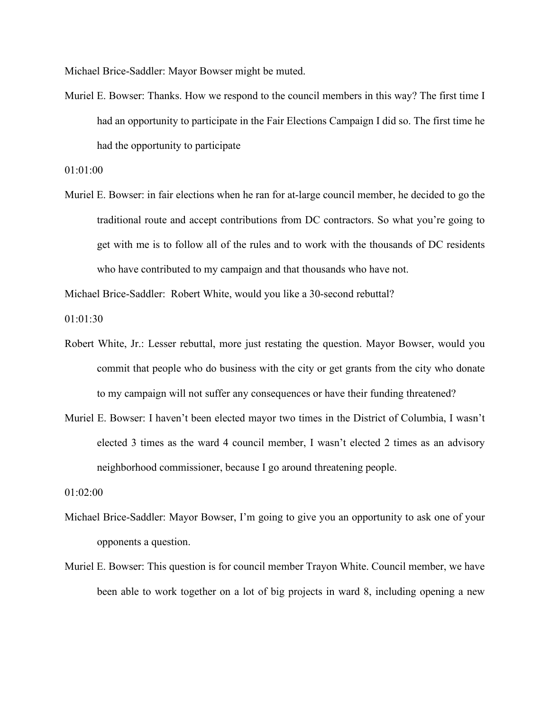Michael Brice-Saddler: Mayor Bowser might be muted.

Muriel E. Bowser: Thanks. How we respond to the council members in this way? The first time I had an opportunity to participate in the Fair Elections Campaign I did so. The first time he had the opportunity to participate

01:01:00

Muriel E. Bowser: in fair elections when he ran for at-large council member, he decided to go the traditional route and accept contributions from DC contractors. So what you're going to get with me is to follow all of the rules and to work with the thousands of DC residents who have contributed to my campaign and that thousands who have not.

Michael Brice-Saddler: Robert White, would you like a 30-second rebuttal?

01:01:30

- Robert White, Jr.: Lesser rebuttal, more just restating the question. Mayor Bowser, would you commit that people who do business with the city or get grants from the city who donate to my campaign will not suffer any consequences or have their funding threatened?
- Muriel E. Bowser: I haven't been elected mayor two times in the District of Columbia, I wasn't elected 3 times as the ward 4 council member, I wasn't elected 2 times as an advisory neighborhood commissioner, because I go around threatening people.

01:02:00

- Michael Brice-Saddler: Mayor Bowser, I'm going to give you an opportunity to ask one of your opponents a question.
- Muriel E. Bowser: This question is for council member Trayon White. Council member, we have been able to work together on a lot of big projects in ward 8, including opening a new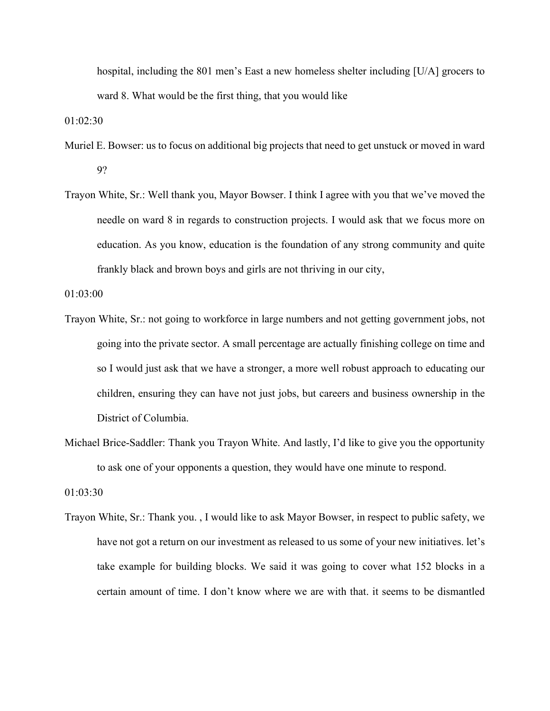hospital, including the 801 men's East a new homeless shelter including [U/A] grocers to ward 8. What would be the first thing, that you would like

01:02:30

- Muriel E. Bowser: us to focus on additional big projects that need to get unstuck or moved in ward 9?
- Trayon White, Sr.: Well thank you, Mayor Bowser. I think I agree with you that we've moved the needle on ward 8 in regards to construction projects. I would ask that we focus more on education. As you know, education is the foundation of any strong community and quite frankly black and brown boys and girls are not thriving in our city,

01:03:00

- Trayon White, Sr.: not going to workforce in large numbers and not getting government jobs, not going into the private sector. A small percentage are actually finishing college on time and so I would just ask that we have a stronger, a more well robust approach to educating our children, ensuring they can have not just jobs, but careers and business ownership in the District of Columbia.
- Michael Brice-Saddler: Thank you Trayon White. And lastly, I'd like to give you the opportunity to ask one of your opponents a question, they would have one minute to respond.

01:03:30

Trayon White, Sr.: Thank you. , I would like to ask Mayor Bowser, in respect to public safety, we have not got a return on our investment as released to us some of your new initiatives. let's take example for building blocks. We said it was going to cover what 152 blocks in a certain amount of time. I don't know where we are with that. it seems to be dismantled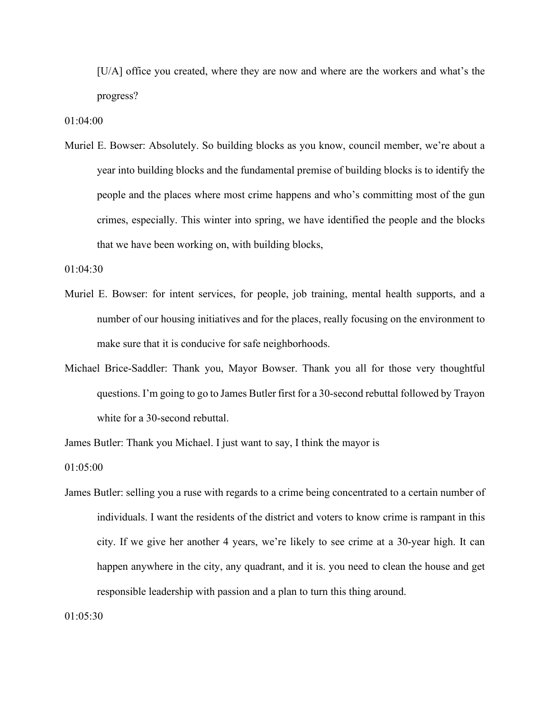[U/A] office you created, where they are now and where are the workers and what's the progress?

01:04:00

Muriel E. Bowser: Absolutely. So building blocks as you know, council member, we're about a year into building blocks and the fundamental premise of building blocks is to identify the people and the places where most crime happens and who's committing most of the gun crimes, especially. This winter into spring, we have identified the people and the blocks that we have been working on, with building blocks,

01:04:30

- Muriel E. Bowser: for intent services, for people, job training, mental health supports, and a number of our housing initiatives and for the places, really focusing on the environment to make sure that it is conducive for safe neighborhoods.
- Michael Brice-Saddler: Thank you, Mayor Bowser. Thank you all for those very thoughtful questions. I'm going to go to James Butler first for a 30-second rebuttal followed by Trayon white for a 30-second rebuttal.

James Butler: Thank you Michael. I just want to say, I think the mayor is

01:05:00

James Butler: selling you a ruse with regards to a crime being concentrated to a certain number of individuals. I want the residents of the district and voters to know crime is rampant in this city. If we give her another 4 years, we're likely to see crime at a 30-year high. It can happen anywhere in the city, any quadrant, and it is. you need to clean the house and get responsible leadership with passion and a plan to turn this thing around.

01:05:30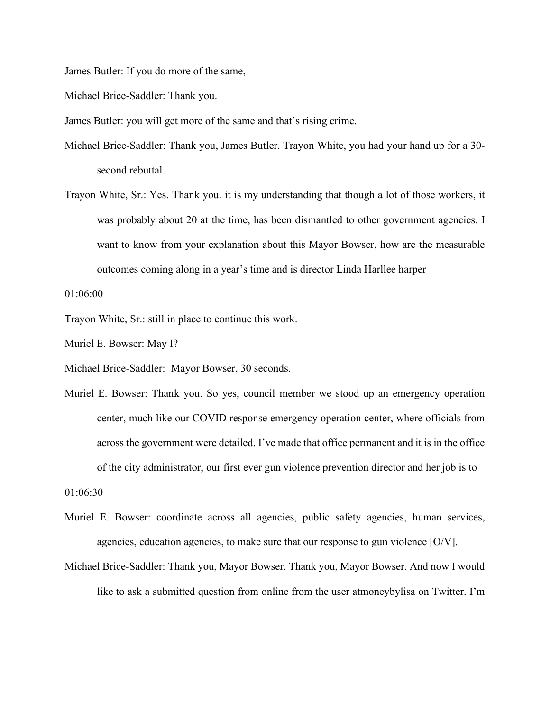James Butler: If you do more of the same,

Michael Brice-Saddler: Thank you.

James Butler: you will get more of the same and that's rising crime.

- Michael Brice-Saddler: Thank you, James Butler. Trayon White, you had your hand up for a 30 second rebuttal.
- Trayon White, Sr.: Yes. Thank you. it is my understanding that though a lot of those workers, it was probably about 20 at the time, has been dismantled to other government agencies. I want to know from your explanation about this Mayor Bowser, how are the measurable outcomes coming along in a year's time and is director Linda Harllee harper

01:06:00

Trayon White, Sr.: still in place to continue this work.

Muriel E. Bowser: May I?

Michael Brice-Saddler: Mayor Bowser, 30 seconds.

Muriel E. Bowser: Thank you. So yes, council member we stood up an emergency operation center, much like our COVID response emergency operation center, where officials from across the government were detailed. I've made that office permanent and it is in the office of the city administrator, our first ever gun violence prevention director and her job is to

01:06:30

- Muriel E. Bowser: coordinate across all agencies, public safety agencies, human services, agencies, education agencies, to make sure that our response to gun violence [O/V].
- Michael Brice-Saddler: Thank you, Mayor Bowser. Thank you, Mayor Bowser. And now I would like to ask a submitted question from online from the user atmoneybylisa on Twitter. I'm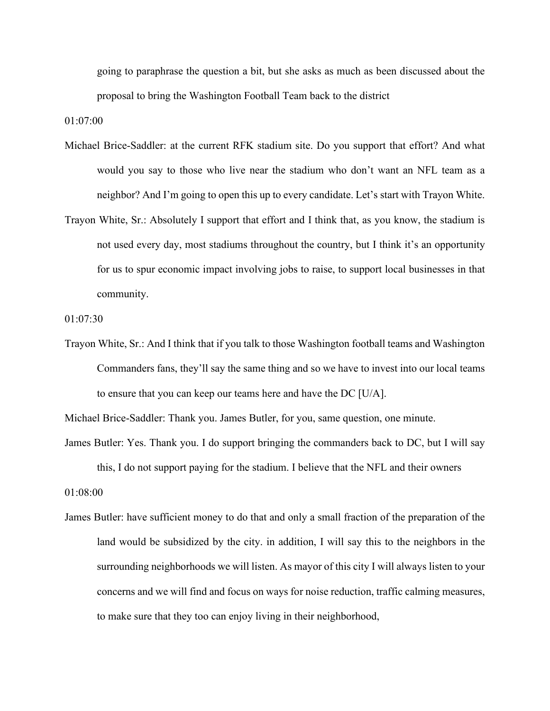going to paraphrase the question a bit, but she asks as much as been discussed about the proposal to bring the Washington Football Team back to the district

01:07:00

- Michael Brice-Saddler: at the current RFK stadium site. Do you support that effort? And what would you say to those who live near the stadium who don't want an NFL team as a neighbor? And I'm going to open this up to every candidate. Let's start with Trayon White.
- Trayon White, Sr.: Absolutely I support that effort and I think that, as you know, the stadium is not used every day, most stadiums throughout the country, but I think it's an opportunity for us to spur economic impact involving jobs to raise, to support local businesses in that community.

01:07:30

Trayon White, Sr.: And I think that if you talk to those Washington football teams and Washington Commanders fans, they'll say the same thing and so we have to invest into our local teams to ensure that you can keep our teams here and have the DC [U/A].

Michael Brice-Saddler: Thank you. James Butler, for you, same question, one minute.

- James Butler: Yes. Thank you. I do support bringing the commanders back to DC, but I will say this, I do not support paying for the stadium. I believe that the NFL and their owners 01:08:00
- James Butler: have sufficient money to do that and only a small fraction of the preparation of the land would be subsidized by the city. in addition, I will say this to the neighbors in the surrounding neighborhoods we will listen. As mayor of this city I will always listen to your concerns and we will find and focus on ways for noise reduction, traffic calming measures, to make sure that they too can enjoy living in their neighborhood,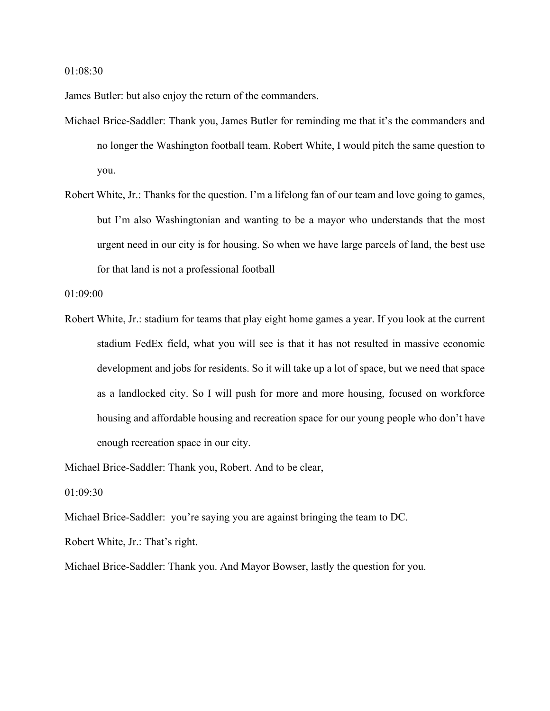01:08:30

James Butler: but also enjoy the return of the commanders.

- Michael Brice-Saddler: Thank you, James Butler for reminding me that it's the commanders and no longer the Washington football team. Robert White, I would pitch the same question to you.
- Robert White, Jr.: Thanks for the question. I'm a lifelong fan of our team and love going to games, but I'm also Washingtonian and wanting to be a mayor who understands that the most urgent need in our city is for housing. So when we have large parcels of land, the best use for that land is not a professional football

01:09:00

Robert White, Jr.: stadium for teams that play eight home games a year. If you look at the current stadium FedEx field, what you will see is that it has not resulted in massive economic development and jobs for residents. So it will take up a lot of space, but we need that space as a landlocked city. So I will push for more and more housing, focused on workforce housing and affordable housing and recreation space for our young people who don't have enough recreation space in our city.

Michael Brice-Saddler: Thank you, Robert. And to be clear,

01:09:30

Michael Brice-Saddler: you're saying you are against bringing the team to DC.

Robert White, Jr.: That's right.

Michael Brice-Saddler: Thank you. And Mayor Bowser, lastly the question for you.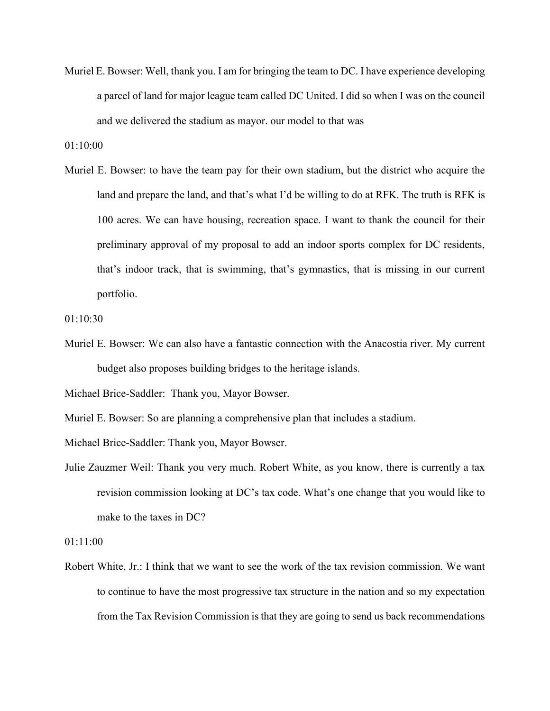Muriel E. Bowser: Well, thank you. I am for bringing the team to DC. I have experience developing a parcel of land for major league team called DC United. I did so when I was on the council and we delivered the stadium as mayor. our model to that was

01:10:00

Muriel E. Bowser: to have the team pay for their own stadium, but the district who acquire the land and prepare the land, and that's what I'd be willing to do at RFK. The truth is RFK is 100 acres. We can have housing, recreation space. I want to thank the council for their preliminary approval of my proposal to add an indoor sports complex for DC residents, that's indoor track, that is swimming, that's gymnastics, that is missing in our current portfolio.

01:10:30

Muriel E. Bowser: We can also have a fantastic connection with the Anacostia river. My current budget also proposes building bridges to the heritage islands.

Michael Brice-Saddler: Thank you, Mayor Bowser.

Muriel E. Bowser: So are planning a comprehensive plan that includes a stadium.

Michael Brice-Saddler: Thank you, Mayor Bowser.

Julie Zauzmer Weil: Thank you very much. Robert White, as you know, there is currently a tax revision commission looking at DC's tax code. What's one change that you would like to make to the taxes in DC?

01:11:00

Robert White, Jr.: I think that we want to see the work of the tax revision commission. We want to continue to have the most progressive tax structure in the nation and so my expectation from the Tax Revision Commission is that they are going to send us back recommendations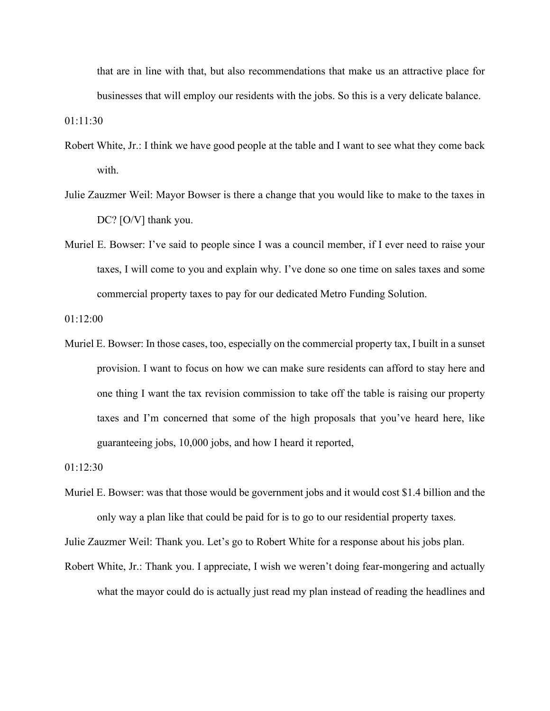that are in line with that, but also recommendations that make us an attractive place for businesses that will employ our residents with the jobs. So this is a very delicate balance.

01:11:30

- Robert White, Jr.: I think we have good people at the table and I want to see what they come back with.
- Julie Zauzmer Weil: Mayor Bowser is there a change that you would like to make to the taxes in DC? [O/V] thank you.
- Muriel E. Bowser: I've said to people since I was a council member, if I ever need to raise your taxes, I will come to you and explain why. I've done so one time on sales taxes and some commercial property taxes to pay for our dedicated Metro Funding Solution.

01:12:00

Muriel E. Bowser: In those cases, too, especially on the commercial property tax, I built in a sunset provision. I want to focus on how we can make sure residents can afford to stay here and one thing I want the tax revision commission to take off the table is raising our property taxes and I'm concerned that some of the high proposals that you've heard here, like guaranteeing jobs, 10,000 jobs, and how I heard it reported,

01:12:30

Muriel E. Bowser: was that those would be government jobs and it would cost \$1.4 billion and the only way a plan like that could be paid for is to go to our residential property taxes.

Julie Zauzmer Weil: Thank you. Let's go to Robert White for a response about his jobs plan.

Robert White, Jr.: Thank you. I appreciate, I wish we weren't doing fear-mongering and actually what the mayor could do is actually just read my plan instead of reading the headlines and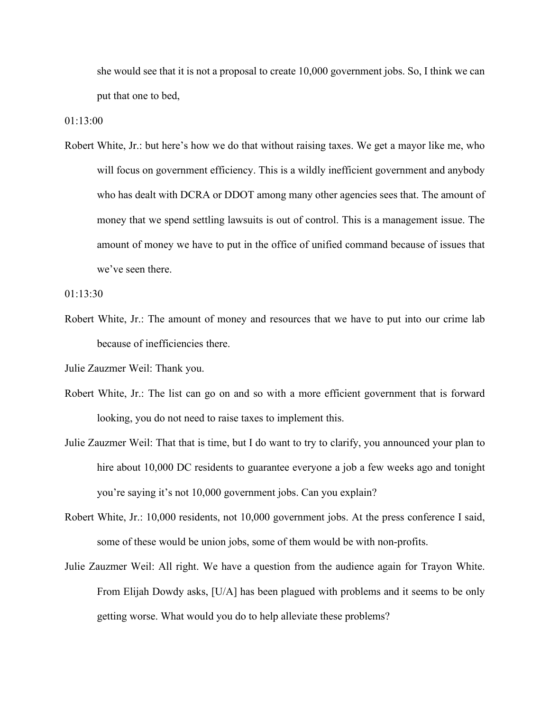she would see that it is not a proposal to create 10,000 government jobs. So, I think we can put that one to bed,

01:13:00

Robert White, Jr.: but here's how we do that without raising taxes. We get a mayor like me, who will focus on government efficiency. This is a wildly inefficient government and anybody who has dealt with DCRA or DDOT among many other agencies sees that. The amount of money that we spend settling lawsuits is out of control. This is a management issue. The amount of money we have to put in the office of unified command because of issues that we've seen there.

01:13:30

Robert White, Jr.: The amount of money and resources that we have to put into our crime lab because of inefficiencies there.

Julie Zauzmer Weil: Thank you.

- Robert White, Jr.: The list can go on and so with a more efficient government that is forward looking, you do not need to raise taxes to implement this.
- Julie Zauzmer Weil: That that is time, but I do want to try to clarify, you announced your plan to hire about 10,000 DC residents to guarantee everyone a job a few weeks ago and tonight you're saying it's not 10,000 government jobs. Can you explain?
- Robert White, Jr.: 10,000 residents, not 10,000 government jobs. At the press conference I said, some of these would be union jobs, some of them would be with non-profits.
- Julie Zauzmer Weil: All right. We have a question from the audience again for Trayon White. From Elijah Dowdy asks, [U/A] has been plagued with problems and it seems to be only getting worse. What would you do to help alleviate these problems?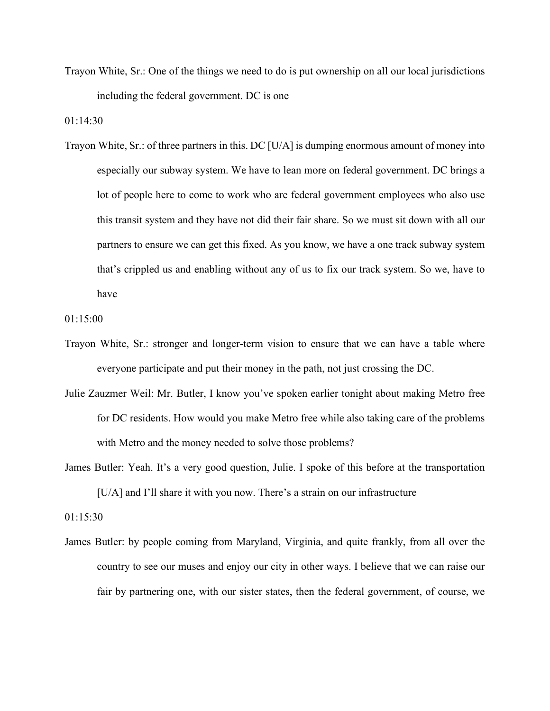Trayon White, Sr.: One of the things we need to do is put ownership on all our local jurisdictions including the federal government. DC is one

01:14:30

Trayon White, Sr.: of three partners in this. DC [U/A] is dumping enormous amount of money into especially our subway system. We have to lean more on federal government. DC brings a lot of people here to come to work who are federal government employees who also use this transit system and they have not did their fair share. So we must sit down with all our partners to ensure we can get this fixed. As you know, we have a one track subway system that's crippled us and enabling without any of us to fix our track system. So we, have to have

01:15:00

- Trayon White, Sr.: stronger and longer-term vision to ensure that we can have a table where everyone participate and put their money in the path, not just crossing the DC.
- Julie Zauzmer Weil: Mr. Butler, I know you've spoken earlier tonight about making Metro free for DC residents. How would you make Metro free while also taking care of the problems with Metro and the money needed to solve those problems?
- James Butler: Yeah. It's a very good question, Julie. I spoke of this before at the transportation [U/A] and I'll share it with you now. There's a strain on our infrastructure

01:15:30

James Butler: by people coming from Maryland, Virginia, and quite frankly, from all over the country to see our muses and enjoy our city in other ways. I believe that we can raise our fair by partnering one, with our sister states, then the federal government, of course, we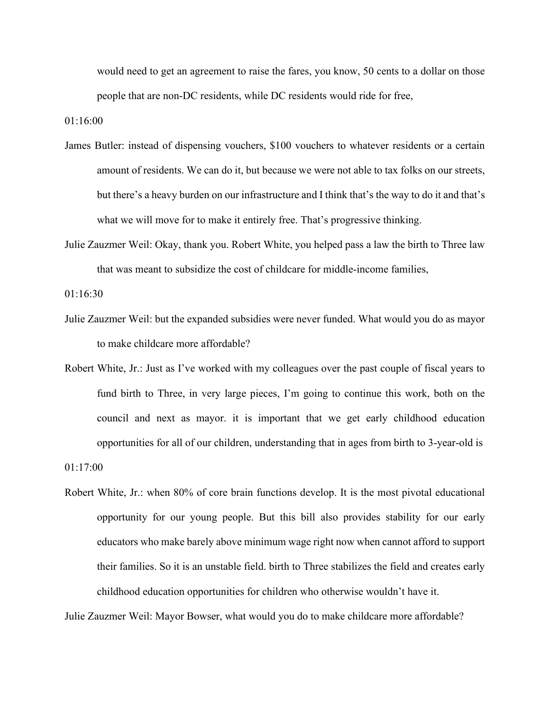would need to get an agreement to raise the fares, you know, 50 cents to a dollar on those people that are non-DC residents, while DC residents would ride for free,

01:16:00

- James Butler: instead of dispensing vouchers, \$100 vouchers to whatever residents or a certain amount of residents. We can do it, but because we were not able to tax folks on our streets, but there's a heavy burden on our infrastructure and I think that's the way to do it and that's what we will move for to make it entirely free. That's progressive thinking.
- Julie Zauzmer Weil: Okay, thank you. Robert White, you helped pass a law the birth to Three law that was meant to subsidize the cost of childcare for middle-income families,

01:16:30

- Julie Zauzmer Weil: but the expanded subsidies were never funded. What would you do as mayor to make childcare more affordable?
- Robert White, Jr.: Just as I've worked with my colleagues over the past couple of fiscal years to fund birth to Three, in very large pieces, I'm going to continue this work, both on the council and next as mayor. it is important that we get early childhood education opportunities for all of our children, understanding that in ages from birth to 3-year-old is

01:17:00

Robert White, Jr.: when 80% of core brain functions develop. It is the most pivotal educational opportunity for our young people. But this bill also provides stability for our early educators who make barely above minimum wage right now when cannot afford to support their families. So it is an unstable field. birth to Three stabilizes the field and creates early childhood education opportunities for children who otherwise wouldn't have it.

Julie Zauzmer Weil: Mayor Bowser, what would you do to make childcare more affordable?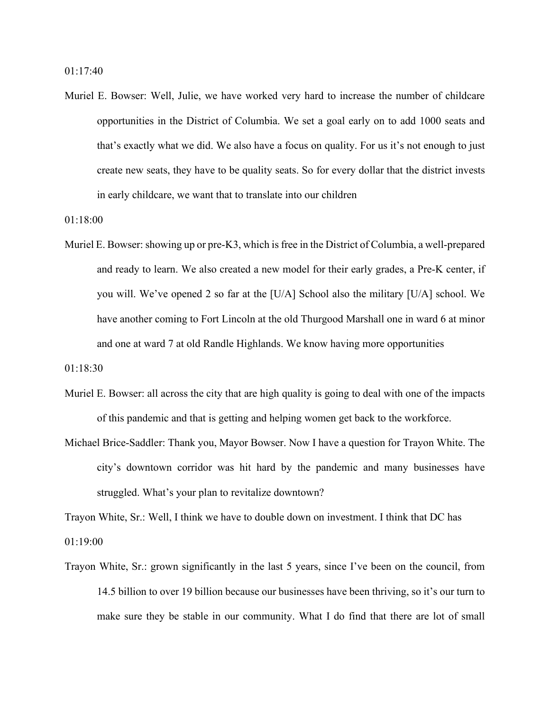Muriel E. Bowser: Well, Julie, we have worked very hard to increase the number of childcare opportunities in the District of Columbia. We set a goal early on to add 1000 seats and that's exactly what we did. We also have a focus on quality. For us it's not enough to just create new seats, they have to be quality seats. So for every dollar that the district invests in early childcare, we want that to translate into our children

01:18:00

Muriel E. Bowser: showing up or pre-K3, which is free in the District of Columbia, a well-prepared and ready to learn. We also created a new model for their early grades, a Pre-K center, if you will. We've opened 2 so far at the [U/A] School also the military [U/A] school. We have another coming to Fort Lincoln at the old Thurgood Marshall one in ward 6 at minor and one at ward 7 at old Randle Highlands. We know having more opportunities

01:18:30

- Muriel E. Bowser: all across the city that are high quality is going to deal with one of the impacts of this pandemic and that is getting and helping women get back to the workforce.
- Michael Brice-Saddler: Thank you, Mayor Bowser. Now I have a question for Trayon White. The city's downtown corridor was hit hard by the pandemic and many businesses have struggled. What's your plan to revitalize downtown?

Trayon White, Sr.: Well, I think we have to double down on investment. I think that DC has 01:19:00

Trayon White, Sr.: grown significantly in the last 5 years, since I've been on the council, from 14.5 billion to over 19 billion because our businesses have been thriving, so it's our turn to make sure they be stable in our community. What I do find that there are lot of small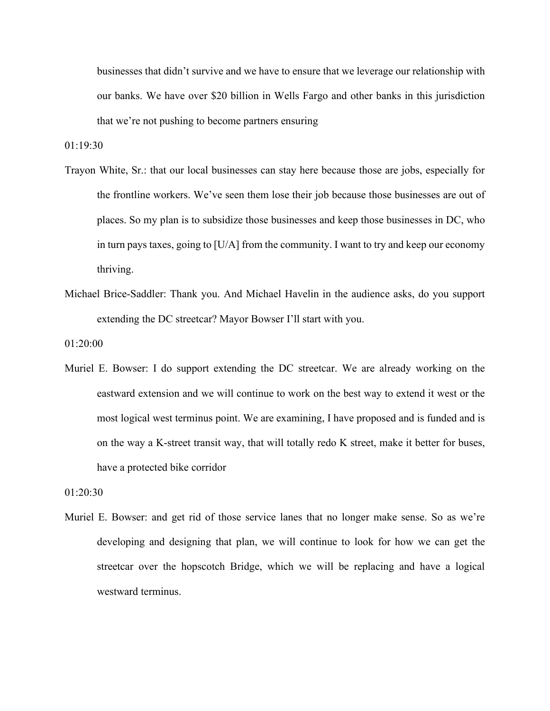businesses that didn't survive and we have to ensure that we leverage our relationship with our banks. We have over \$20 billion in Wells Fargo and other banks in this jurisdiction that we're not pushing to become partners ensuring

01:19:30

- Trayon White, Sr.: that our local businesses can stay here because those are jobs, especially for the frontline workers. We've seen them lose their job because those businesses are out of places. So my plan is to subsidize those businesses and keep those businesses in DC, who in turn pays taxes, going to [U/A] from the community. I want to try and keep our economy thriving.
- Michael Brice-Saddler: Thank you. And Michael Havelin in the audience asks, do you support extending the DC streetcar? Mayor Bowser I'll start with you.

01:20:00

Muriel E. Bowser: I do support extending the DC streetcar. We are already working on the eastward extension and we will continue to work on the best way to extend it west or the most logical west terminus point. We are examining, I have proposed and is funded and is on the way a K-street transit way, that will totally redo K street, make it better for buses, have a protected bike corridor

01:20:30

Muriel E. Bowser: and get rid of those service lanes that no longer make sense. So as we're developing and designing that plan, we will continue to look for how we can get the streetcar over the hopscotch Bridge, which we will be replacing and have a logical westward terminus.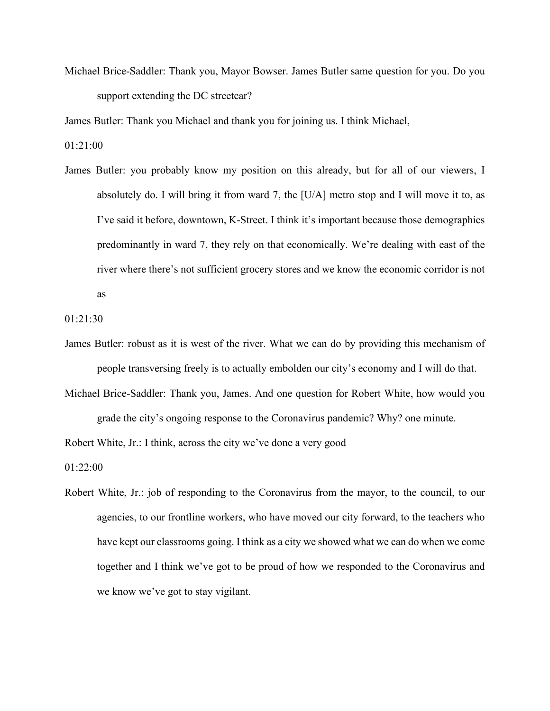Michael Brice-Saddler: Thank you, Mayor Bowser. James Butler same question for you. Do you support extending the DC streetcar?

James Butler: Thank you Michael and thank you for joining us. I think Michael,

01:21:00

James Butler: you probably know my position on this already, but for all of our viewers, I absolutely do. I will bring it from ward 7, the [U/A] metro stop and I will move it to, as I've said it before, downtown, K-Street. I think it's important because those demographics predominantly in ward 7, they rely on that economically. We're dealing with east of the river where there's not sufficient grocery stores and we know the economic corridor is not as

01:21:30

- James Butler: robust as it is west of the river. What we can do by providing this mechanism of people transversing freely is to actually embolden our city's economy and I will do that.
- Michael Brice-Saddler: Thank you, James. And one question for Robert White, how would you grade the city's ongoing response to the Coronavirus pandemic? Why? one minute.

Robert White, Jr.: I think, across the city we've done a very good

01:22:00

Robert White, Jr.: job of responding to the Coronavirus from the mayor, to the council, to our agencies, to our frontline workers, who have moved our city forward, to the teachers who have kept our classrooms going. I think as a city we showed what we can do when we come together and I think we've got to be proud of how we responded to the Coronavirus and we know we've got to stay vigilant.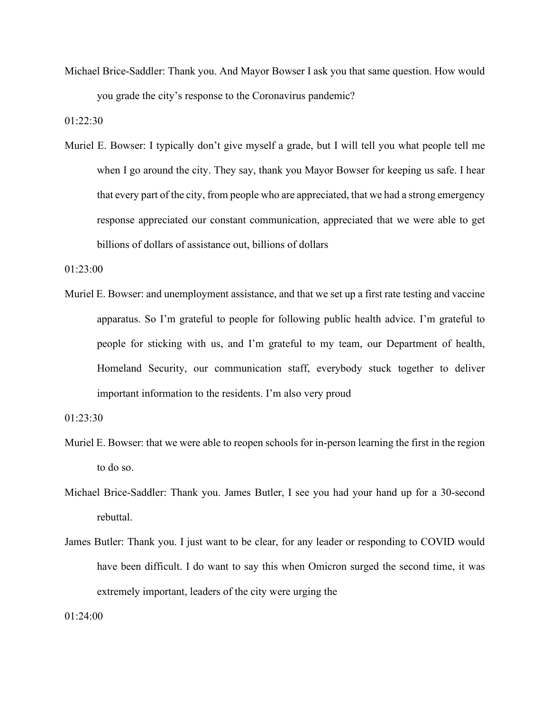Michael Brice-Saddler: Thank you. And Mayor Bowser I ask you that same question. How would you grade the city's response to the Coronavirus pandemic?

01:22:30

Muriel E. Bowser: I typically don't give myself a grade, but I will tell you what people tell me when I go around the city. They say, thank you Mayor Bowser for keeping us safe. I hear that every part of the city, from people who are appreciated, that we had a strong emergency response appreciated our constant communication, appreciated that we were able to get billions of dollars of assistance out, billions of dollars

01:23:00

Muriel E. Bowser: and unemployment assistance, and that we set up a first rate testing and vaccine apparatus. So I'm grateful to people for following public health advice. I'm grateful to people for sticking with us, and I'm grateful to my team, our Department of health, Homeland Security, our communication staff, everybody stuck together to deliver important information to the residents. I'm also very proud

01:23:30

- Muriel E. Bowser: that we were able to reopen schools for in-person learning the first in the region to do so.
- Michael Brice-Saddler: Thank you. James Butler, I see you had your hand up for a 30-second rebuttal.
- James Butler: Thank you. I just want to be clear, for any leader or responding to COVID would have been difficult. I do want to say this when Omicron surged the second time, it was extremely important, leaders of the city were urging the

01:24:00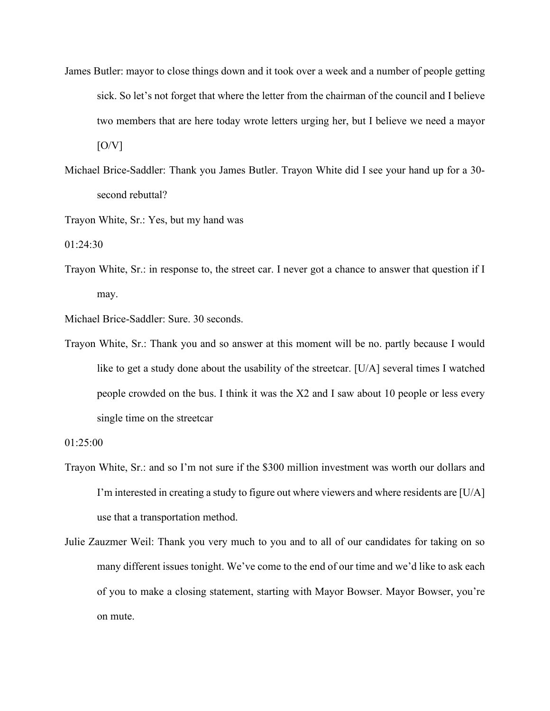- James Butler: mayor to close things down and it took over a week and a number of people getting sick. So let's not forget that where the letter from the chairman of the council and I believe two members that are here today wrote letters urging her, but I believe we need a mayor  $[O/V]$
- Michael Brice-Saddler: Thank you James Butler. Trayon White did I see your hand up for a 30 second rebuttal?

Trayon White, Sr.: Yes, but my hand was

01:24:30

Trayon White, Sr.: in response to, the street car. I never got a chance to answer that question if I may.

Michael Brice-Saddler: Sure. 30 seconds.

Trayon White, Sr.: Thank you and so answer at this moment will be no. partly because I would like to get a study done about the usability of the streetcar. [U/A] several times I watched people crowded on the bus. I think it was the X2 and I saw about 10 people or less every single time on the streetcar

- Trayon White, Sr.: and so I'm not sure if the \$300 million investment was worth our dollars and I'm interested in creating a study to figure out where viewers and where residents are [U/A] use that a transportation method.
- Julie Zauzmer Weil: Thank you very much to you and to all of our candidates for taking on so many different issues tonight. We've come to the end of our time and we'd like to ask each of you to make a closing statement, starting with Mayor Bowser. Mayor Bowser, you're on mute.

<sup>01:25:00</sup>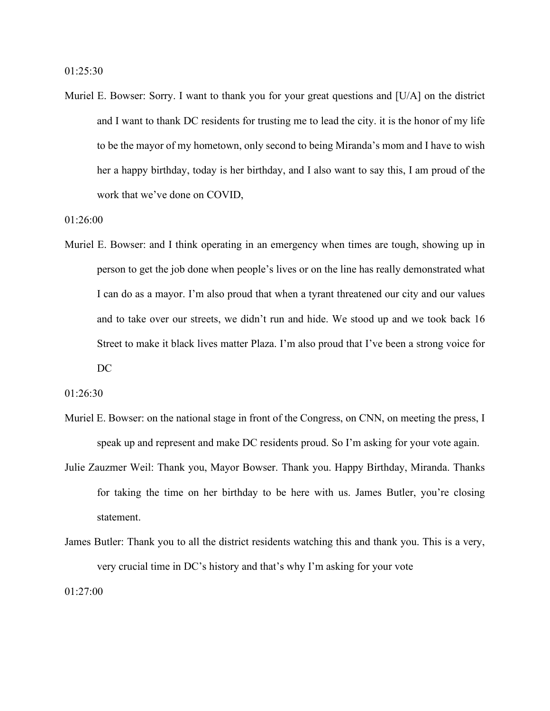Muriel E. Bowser: Sorry. I want to thank you for your great questions and [U/A] on the district and I want to thank DC residents for trusting me to lead the city. it is the honor of my life to be the mayor of my hometown, only second to being Miranda's mom and I have to wish her a happy birthday, today is her birthday, and I also want to say this, I am proud of the work that we've done on COVID,

01:26:00

Muriel E. Bowser: and I think operating in an emergency when times are tough, showing up in person to get the job done when people's lives or on the line has really demonstrated what I can do as a mayor. I'm also proud that when a tyrant threatened our city and our values and to take over our streets, we didn't run and hide. We stood up and we took back 16 Street to make it black lives matter Plaza. I'm also proud that I've been a strong voice for DC

01:26:30

- Muriel E. Bowser: on the national stage in front of the Congress, on CNN, on meeting the press, I speak up and represent and make DC residents proud. So I'm asking for your vote again.
- Julie Zauzmer Weil: Thank you, Mayor Bowser. Thank you. Happy Birthday, Miranda. Thanks for taking the time on her birthday to be here with us. James Butler, you're closing statement.
- James Butler: Thank you to all the district residents watching this and thank you. This is a very, very crucial time in DC's history and that's why I'm asking for your vote

01:27:00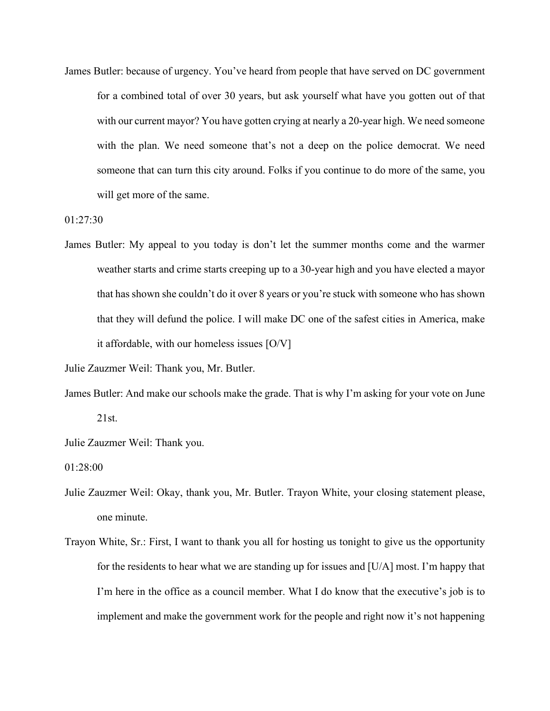James Butler: because of urgency. You've heard from people that have served on DC government for a combined total of over 30 years, but ask yourself what have you gotten out of that with our current mayor? You have gotten crying at nearly a 20-year high. We need someone with the plan. We need someone that's not a deep on the police democrat. We need someone that can turn this city around. Folks if you continue to do more of the same, you will get more of the same.

01:27:30

James Butler: My appeal to you today is don't let the summer months come and the warmer weather starts and crime starts creeping up to a 30-year high and you have elected a mayor that has shown she couldn't do it over 8 years or you're stuck with someone who has shown that they will defund the police. I will make DC one of the safest cities in America, make it affordable, with our homeless issues [O/V]

Julie Zauzmer Weil: Thank you, Mr. Butler.

James Butler: And make our schools make the grade. That is why I'm asking for your vote on June 21st.

Julie Zauzmer Weil: Thank you.

01:28:00

- Julie Zauzmer Weil: Okay, thank you, Mr. Butler. Trayon White, your closing statement please, one minute.
- Trayon White, Sr.: First, I want to thank you all for hosting us tonight to give us the opportunity for the residents to hear what we are standing up for issues and [U/A] most. I'm happy that I'm here in the office as a council member. What I do know that the executive's job is to implement and make the government work for the people and right now it's not happening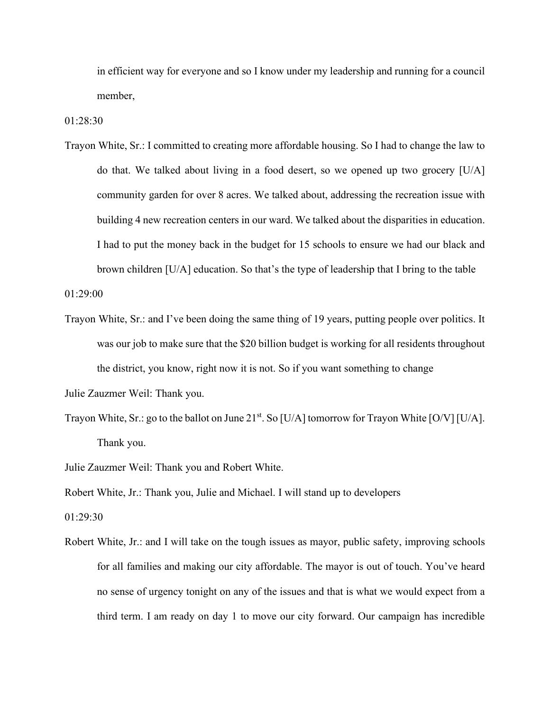in efficient way for everyone and so I know under my leadership and running for a council member,

01:28:30

Trayon White, Sr.: I committed to creating more affordable housing. So I had to change the law to do that. We talked about living in a food desert, so we opened up two grocery [U/A] community garden for over 8 acres. We talked about, addressing the recreation issue with building 4 new recreation centers in our ward. We talked about the disparities in education. I had to put the money back in the budget for 15 schools to ensure we had our black and brown children [U/A] education. So that's the type of leadership that I bring to the table

01:29:00

Trayon White, Sr.: and I've been doing the same thing of 19 years, putting people over politics. It was our job to make sure that the \$20 billion budget is working for all residents throughout the district, you know, right now it is not. So if you want something to change

- Trayon White, Sr.: go to the ballot on June  $21^{st}$ . So [U/A] tomorrow for Trayon White [O/V] [U/A]. Thank you.
- Julie Zauzmer Weil: Thank you and Robert White.

Robert White, Jr.: Thank you, Julie and Michael. I will stand up to developers

01:29:30

Robert White, Jr.: and I will take on the tough issues as mayor, public safety, improving schools for all families and making our city affordable. The mayor is out of touch. You've heard no sense of urgency tonight on any of the issues and that is what we would expect from a third term. I am ready on day 1 to move our city forward. Our campaign has incredible

Julie Zauzmer Weil: Thank you.